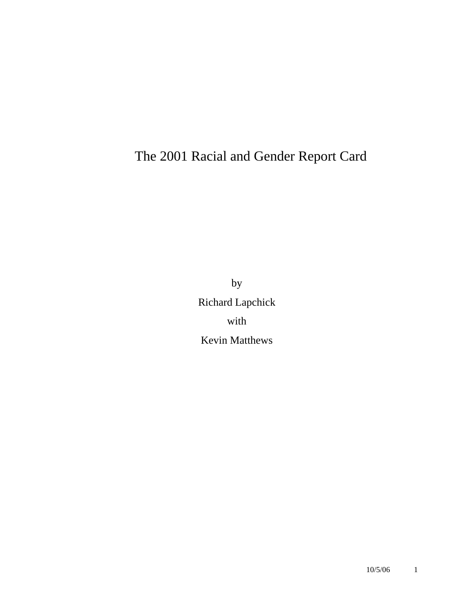# The 2001 Racial and Gender Report Card

by Richard Lapchick with Kevin Matthews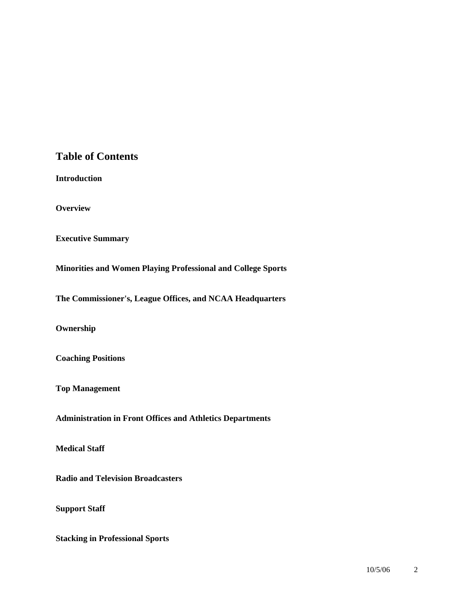### **Table of Contents**

**Introduction** 

**Overview** 

**Executive Summary** 

**Minorities and Women Playing Professional and College Sports** 

**The Commissioner's, League Offices, and NCAA Headquarters** 

**Ownership** 

**Coaching Positions** 

**Top Management** 

**Administration in Front Offices and Athletics Departments** 

**Medical Staff** 

**Radio and Television Broadcasters** 

**Support Staff** 

**Stacking in Professional Sports**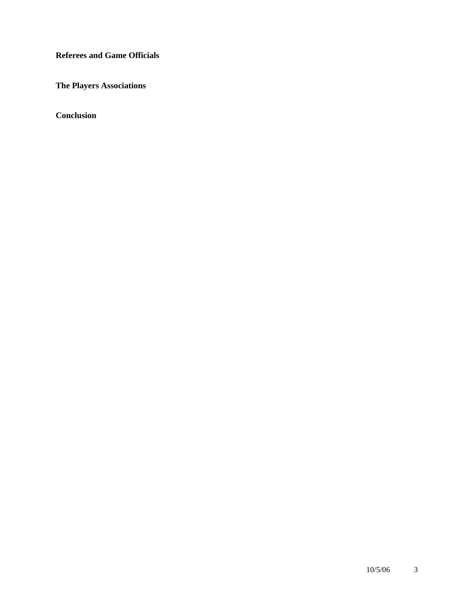**Referees and Game Officials** 

**The Players Associations** 

**Conclusion**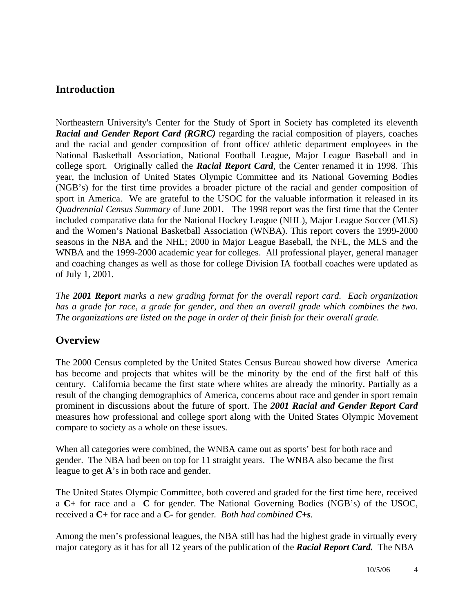### **Introduction**

Northeastern University's Center for the Study of Sport in Society has completed its eleventh *Racial and Gender Report Card (RGRC)* regarding the racial composition of players, coaches and the racial and gender composition of front office/ athletic department employees in the National Basketball Association, National Football League, Major League Baseball and in college sport. Originally called the *Racial Report Card*, the Center renamed it in 1998. This year, the inclusion of United States Olympic Committee and its National Governing Bodies (NGB's) for the first time provides a broader picture of the racial and gender composition of sport in America. We are grateful to the USOC for the valuable information it released in its *Quadrennial Census Summary* of June 2001.The 1998 report was the first time that the Center included comparative data for the National Hockey League (NHL), Major League Soccer (MLS) and the Women's National Basketball Association (WNBA). This report covers the 1999-2000 seasons in the NBA and the NHL; 2000 in Major League Baseball, the NFL, the MLS and the WNBA and the 1999-2000 academic year for colleges. All professional player, general manager and coaching changes as well as those for college Division IA football coaches were updated as of July 1, 2001.

*The 2001 Report marks a new grading format for the overall report card. Each organization*  has a grade for race, a grade for gender, and then an overall grade which combines the two. *The organizations are listed on the page in order of their finish for their overall grade.* 

### **Overview**

The 2000 Census completed by the United States Census Bureau showed how diverse America has become and projects that whites will be the minority by the end of the first half of this century. California became the first state where whites are already the minority. Partially as a result of the changing demographics of America, concerns about race and gender in sport remain prominent in discussions about the future of sport. The *2001 Racial and Gender Report Card*  measures how professional and college sport along with the United States Olympic Movement compare to society as a whole on these issues.

When all categories were combined, the WNBA came out as sports' best for both race and gender. The NBA had been on top for 11 straight years. The WNBA also became the first league to get **A**'s in both race and gender.

The United States Olympic Committee, both covered and graded for the first time here, received a **C+** for race and a **C** for gender. The National Governing Bodies (NGB's) of the USOC, received a **C+** for race and a **C-** for gender*. Both had combined C+s.* 

Among the men's professional leagues, the NBA still has had the highest grade in virtually every major category as it has for all 12 years of the publication of the *Racial Report Card.* The NBA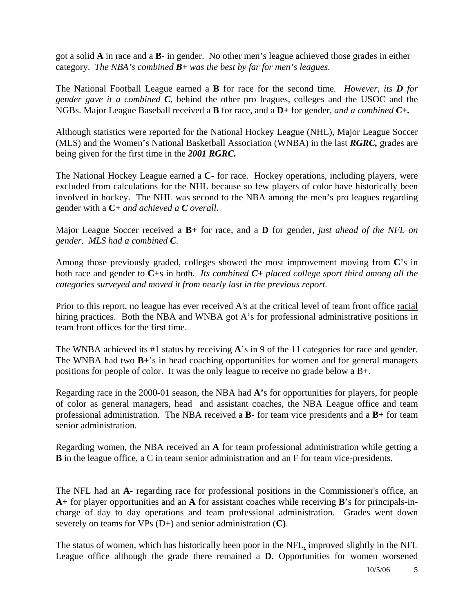got a solid **A** in race and a **B-** in gender. No other men's league achieved those grades in either category. *The NBA's combined B+ was the best by far for men's leagues.* 

The National Football League earned a **B** for race for the second time*. However, its D for gender gave it a combined C*, behind the other pro leagues, colleges and the USOC and the NGBs. Major League Baseball received a **B** for race, and a **D+** for gender*, and a combined C+.*

Although statistics were reported for the National Hockey League (NHL), Major League Soccer (MLS) and the Women's National Basketball Association (WNBA) in the last *RGRC,* grades are being given for the first time in the *2001 RGRC.*

The National Hockey League earned a **C-** for race. Hockey operations, including players, were excluded from calculations for the NHL because so few players of color have historically been involved in hockey. The NHL was second to the NBA among the men's pro leagues regarding gender with a **C+** *and achieved a C overall***.**

Major League Soccer received a **B+** for race, and a **D** for gender, *just ahead of the NFL on gender. MLS had a combined C.* 

Among those previously graded, colleges showed the most improvement moving from **C**'s in both race and gender to **C+**s in both. *Its combined C+ placed college sport third among all the categories surveyed and moved it from nearly last in the previous report.* 

Prior to this report, no league has ever received A's at the critical level of team front office racial hiring practices. Both the NBA and WNBA got A's for professional administrative positions in team front offices for the first time.

The WNBA achieved its #1 status by receiving **A**'s in 9 of the 11 categories for race and gender. The WNBA had two **B+**'s in head coaching opportunities for women and for general managers positions for people of color. It was the only league to receive no grade below a B+.

Regarding race in the 2000-01 season, the NBA had **A'**s for opportunities for players, for people of color as general managers, head and assistant coaches, the NBA League office and team professional administration. The NBA received a **B-** for team vice presidents and a **B+** for team senior administration.

Regarding women, the NBA received an **A** for team professional administration while getting a **B** in the league office, a C in team senior administration and an F for team vice-presidents.

The NFL had an **A-** regarding race for professional positions in the Commissioner's office, an **A+** for player opportunities and an **A** for assistant coaches while receiving **B**'s for principals-incharge of day to day operations and team professional administration. Grades went down severely on teams for VPs (D+) and senior administration (**C)**.

The status of women, which has historically been poor in the NFL, improved slightly in the NFL League office although the grade there remained a **D**. Opportunities for women worsened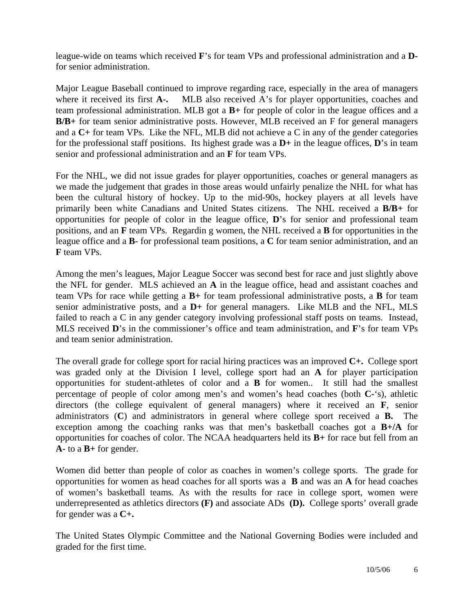league-wide on teams which received **F**'s for team VPs and professional administration and a **D**for senior administration.

Major League Baseball continued to improve regarding race, especially in the area of managers where it received its first **A-.** MLB also received A's for player opportunities, coaches and team professional administration. MLB got a **B+** for people of color in the league offices and a **B/B+** for team senior administrative posts. However, MLB received an F for general managers and a **C+** for team VPs. Like the NFL, MLB did not achieve a C in any of the gender categories for the professional staff positions. Its highest grade was a **D+** in the league offices, **D**'s in team senior and professional administration and an **F** for team VPs.

For the NHL, we did not issue grades for player opportunities, coaches or general managers as we made the judgement that grades in those areas would unfairly penalize the NHL for what has been the cultural history of hockey. Up to the mid-90s, hockey players at all levels have primarily been white Canadians and United States citizens. The NHL received a **B/B+** for opportunities for people of color in the league office, **D**'s for senior and professional team positions, and an **F** team VPs. Regardin g women, the NHL received a **B** for opportunities in the league office and a **B**- for professional team positions, a **C** for team senior administration, and an **F** team VPs.

Among the men's leagues, Major League Soccer was second best for race and just slightly above the NFL for gender. MLS achieved an **A** in the league office, head and assistant coaches and team VPs for race while getting a **B+** for team professional administrative posts, a **B** for team senior administrative posts, and a **D+** for general managers. Like MLB and the NFL, MLS failed to reach a C in any gender category involving professional staff posts on teams. Instead, MLS received **D**'s in the commissioner's office and team administration, and **F**'s for team VPs and team senior administration.

The overall grade for college sport for racial hiring practices was an improved **C+.** College sport was graded only at the Division I level, college sport had an **A** for player participation opportunities for student-athletes of color and a **B** for women.. It still had the smallest percentage of people of color among men's and women's head coaches (both **C-**'s), athletic directors (the college equivalent of general managers) where it received an **F**, senior administrators (**C**) and administrators in general where college sport received a **B.** The exception among the coaching ranks was that men's basketball coaches got a **B+/A** for opportunities for coaches of color. The NCAA headquarters held its **B+** for race but fell from an **A-** to a **B+** for gender.

Women did better than people of color as coaches in women's college sports. The grade for opportunities for women as head coaches for all sports was a **B** and was an **A** for head coaches of women's basketball teams. As with the results for race in college sport, women were underrepresented as athletics directors **(F)** and associate ADs **(D).** College sports' overall grade for gender was a **C+.**

The United States Olympic Committee and the National Governing Bodies were included and graded for the first time.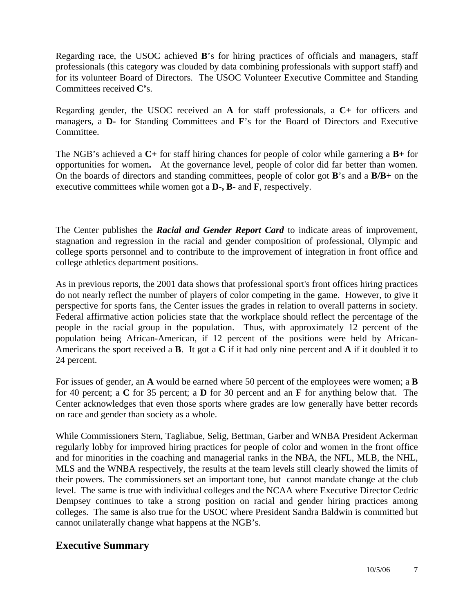Regarding race, the USOC achieved **B**'s for hiring practices of officials and managers, staff professionals (this category was clouded by data combining professionals with support staff) and for its volunteer Board of Directors. The USOC Volunteer Executive Committee and Standing Committees received **C'**s.

Regarding gender, the USOC received an **A** for staff professionals, a **C+** for officers and managers, a **D-** for Standing Committees and **F**'s for the Board of Directors and Executive Committee.

The NGB's achieved a **C+** for staff hiring chances for people of color while garnering a **B+** for opportunities for women**.** At the governance level, people of color did far better than women. On the boards of directors and standing committees, people of color got **B**'s and a **B/B**+ on the executive committees while women got a **D-, B-** and **F**, respectively.

The Center publishes the *Racial and Gender Report Card* to indicate areas of improvement, stagnation and regression in the racial and gender composition of professional, Olympic and college sports personnel and to contribute to the improvement of integration in front office and college athletics department positions.

As in previous reports, the 2001 data shows that professional sport's front offices hiring practices do not nearly reflect the number of players of color competing in the game. However, to give it perspective for sports fans, the Center issues the grades in relation to overall patterns in society. Federal affirmative action policies state that the workplace should reflect the percentage of the people in the racial group in the population. Thus, with approximately 12 percent of the population being African-American, if 12 percent of the positions were held by African-Americans the sport received a **B**. It got a **C** if it had only nine percent and **A** if it doubled it to 24 percent.

For issues of gender, an **A** would be earned where 50 percent of the employees were women; a **B** for 40 percent; a **C** for 35 percent; a **D** for 30 percent and an **F** for anything below that. The Center acknowledges that even those sports where grades are low generally have better records on race and gender than society as a whole.

While Commissioners Stern, Tagliabue, Selig, Bettman, Garber and WNBA President Ackerman regularly lobby for improved hiring practices for people of color and women in the front office and for minorities in the coaching and managerial ranks in the NBA, the NFL, MLB, the NHL, MLS and the WNBA respectively, the results at the team levels still clearly showed the limits of their powers. The commissioners set an important tone, but cannot mandate change at the club level. The same is true with individual colleges and the NCAA where Executive Director Cedric Dempsey continues to take a strong position on racial and gender hiring practices among colleges. The same is also true for the USOC where President Sandra Baldwin is committed but cannot unilaterally change what happens at the NGB's.

### **Executive Summary**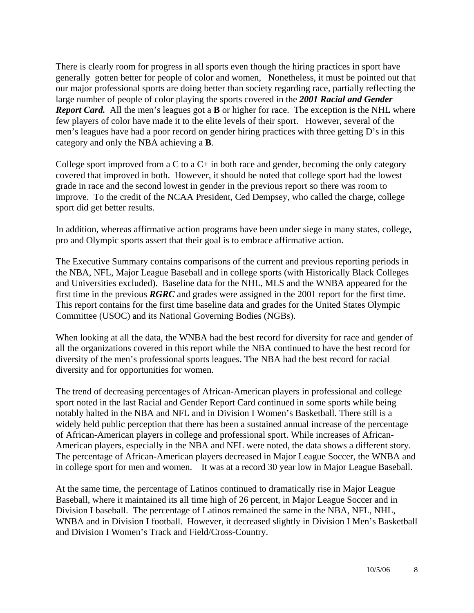There is clearly room for progress in all sports even though the hiring practices in sport have generally gotten better for people of color and women, Nonetheless, it must be pointed out that our major professional sports are doing better than society regarding race, partially reflecting the large number of people of color playing the sports covered in the *2001 Racial and Gender Report Card.* All the men's leagues got a **B** or higher for race.The exception is the NHL where few players of color have made it to the elite levels of their sport. However, several of the men's leagues have had a poor record on gender hiring practices with three getting D's in this category and only the NBA achieving a **B**.

College sport improved from a C to a  $C<sub>+</sub>$  in both race and gender, becoming the only category covered that improved in both. However, it should be noted that college sport had the lowest grade in race and the second lowest in gender in the previous report so there was room to improve. To the credit of the NCAA President, Ced Dempsey, who called the charge, college sport did get better results.

In addition, whereas affirmative action programs have been under siege in many states, college, pro and Olympic sports assert that their goal is to embrace affirmative action.

The Executive Summary contains comparisons of the current and previous reporting periods in the NBA, NFL, Major League Baseball and in college sports (with Historically Black Colleges and Universities excluded). Baseline data for the NHL, MLS and the WNBA appeared for the first time in the previous *RGRC* and grades were assigned in the 2001 report for the first time. This report contains for the first time baseline data and grades for the United States Olympic Committee (USOC) and its National Governing Bodies (NGBs).

When looking at all the data, the WNBA had the best record for diversity for race and gender of all the organizations covered in this report while the NBA continued to have the best record for diversity of the men's professional sports leagues. The NBA had the best record for racial diversity and for opportunities for women.

The trend of decreasing percentages of African-American players in professional and college sport noted in the last Racial and Gender Report Card continued in some sports while being notably halted in the NBA and NFL and in Division I Women's Basketball. There still is a widely held public perception that there has been a sustained annual increase of the percentage of African-American players in college and professional sport. While increases of African-American players, especially in the NBA and NFL were noted, the data shows a different story. The percentage of African-American players decreased in Major League Soccer, the WNBA and in college sport for men and women. It was at a record 30 year low in Major League Baseball.

At the same time, the percentage of Latinos continued to dramatically rise in Major League Baseball, where it maintained its all time high of 26 percent, in Major League Soccer and in Division I baseball. The percentage of Latinos remained the same in the NBA, NFL, NHL, WNBA and in Division I football. However, it decreased slightly in Division I Men's Basketball and Division I Women's Track and Field/Cross-Country.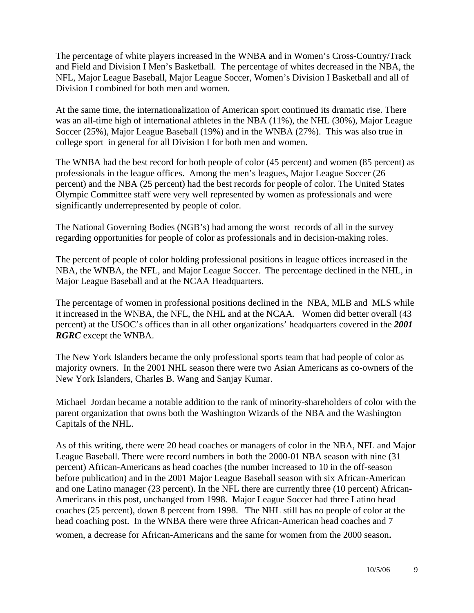The percentage of white players increased in the WNBA and in Women's Cross-Country/Track and Field and Division I Men's Basketball. The percentage of whites decreased in the NBA, the NFL, Major League Baseball, Major League Soccer, Women's Division I Basketball and all of Division I combined for both men and women.

At the same time, the internationalization of American sport continued its dramatic rise. There was an all-time high of international athletes in the NBA (11%), the NHL (30%), Major League Soccer (25%), Major League Baseball (19%) and in the WNBA (27%). This was also true in college sport in general for all Division I for both men and women.

The WNBA had the best record for both people of color (45 percent) and women (85 percent) as professionals in the league offices. Among the men's leagues, Major League Soccer (26 percent) and the NBA (25 percent) had the best records for people of color. The United States Olympic Committee staff were very well represented by women as professionals and were significantly underrepresented by people of color.

The National Governing Bodies (NGB's) had among the worst records of all in the survey regarding opportunities for people of color as professionals and in decision-making roles.

The percent of people of color holding professional positions in league offices increased in the NBA, the WNBA, the NFL, and Major League Soccer. The percentage declined in the NHL, in Major League Baseball and at the NCAA Headquarters.

The percentage of women in professional positions declined in the NBA, MLB and MLS while it increased in the WNBA, the NFL, the NHL and at the NCAA. Women did better overall (43 percent) at the USOC's offices than in all other organizations' headquarters covered in the *2001 RGRC* except the WNBA.

The New York Islanders became the only professional sports team that had people of color as majority owners. In the 2001 NHL season there were two Asian Americans as co-owners of the New York Islanders, Charles B. Wang and Sanjay Kumar.

Michael Jordan became a notable addition to the rank of minority-shareholders of color with the parent organization that owns both the Washington Wizards of the NBA and the Washington Capitals of the NHL.

As of this writing, there were 20 head coaches or managers of color in the NBA, NFL and Major League Baseball. There were record numbers in both the 2000-01 NBA season with nine (31 percent) African-Americans as head coaches (the number increased to 10 in the off-season before publication) and in the 2001 Major League Baseball season with six African-American and one Latino manager (23 percent). In the NFL there are currently three (10 percent) African-Americans in this post, unchanged from 1998. Major League Soccer had three Latino head coaches (25 percent), down 8 percent from 1998. The NHL still has no people of color at the head coaching post. In the WNBA there were three African-American head coaches and 7 women, a decrease for African-Americans and the same for women from the 2000 season.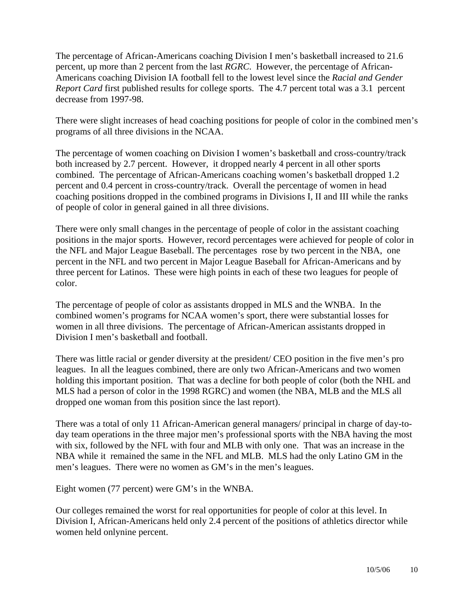The percentage of African-Americans coaching Division I men's basketball increased to 21.6 percent, up more than 2 percent from the last *RGRC*. However, the percentage of African-Americans coaching Division IA football fell to the lowest level since the *Racial and Gender Report Card* first published results for college sports. The 4.7 percent total was a 3.1 percent decrease from 1997-98.

There were slight increases of head coaching positions for people of color in the combined men's programs of all three divisions in the NCAA.

The percentage of women coaching on Division I women's basketball and cross-country/track both increased by 2.7 percent. However, it dropped nearly 4 percent in all other sports combined. The percentage of African-Americans coaching women's basketball dropped 1.2 percent and 0.4 percent in cross-country/track. Overall the percentage of women in head coaching positions dropped in the combined programs in Divisions I, II and III while the ranks of people of color in general gained in all three divisions.

There were only small changes in the percentage of people of color in the assistant coaching positions in the major sports. However, record percentages were achieved for people of color in the NFL and Major League Baseball. The percentages rose by two percent in the NBA, one percent in the NFL and two percent in Major League Baseball for African-Americans and by three percent for Latinos. These were high points in each of these two leagues for people of color.

The percentage of people of color as assistants dropped in MLS and the WNBA. In the combined women's programs for NCAA women's sport, there were substantial losses for women in all three divisions. The percentage of African-American assistants dropped in Division I men's basketball and football.

There was little racial or gender diversity at the president/ CEO position in the five men's pro leagues. In all the leagues combined, there are only two African-Americans and two women holding this important position. That was a decline for both people of color (both the NHL and MLS had a person of color in the 1998 RGRC) and women (the NBA, MLB and the MLS all dropped one woman from this position since the last report).

There was a total of only 11 African-American general managers/ principal in charge of day-today team operations in the three major men's professional sports with the NBA having the most with six, followed by the NFL with four and MLB with only one. That was an increase in the NBA while it remained the same in the NFL and MLB. MLS had the only Latino GM in the men's leagues. There were no women as GM's in the men's leagues.

Eight women (77 percent) were GM's in the WNBA.

Our colleges remained the worst for real opportunities for people of color at this level. In Division I, African-Americans held only 2.4 percent of the positions of athletics director while women held onlynine percent.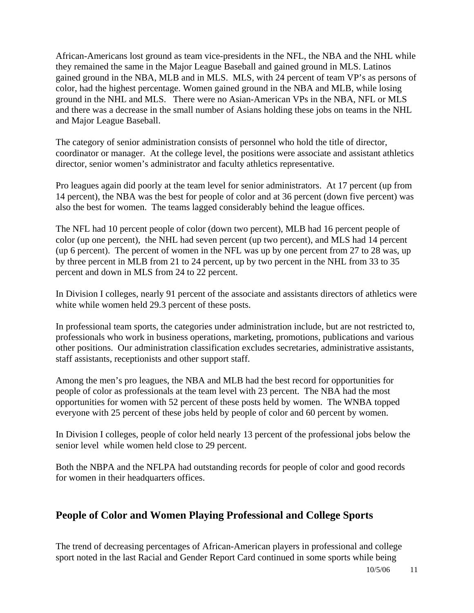African-Americans lost ground as team vice-presidents in the NFL, the NBA and the NHL while they remained the same in the Major League Baseball and gained ground in MLS. Latinos gained ground in the NBA, MLB and in MLS. MLS, with 24 percent of team VP's as persons of color, had the highest percentage. Women gained ground in the NBA and MLB, while losing ground in the NHL and MLS. There were no Asian-American VPs in the NBA, NFL or MLS and there was a decrease in the small number of Asians holding these jobs on teams in the NHL and Major League Baseball.

The category of senior administration consists of personnel who hold the title of director, coordinator or manager. At the college level, the positions were associate and assistant athletics director, senior women's administrator and faculty athletics representative.

Pro leagues again did poorly at the team level for senior administrators. At 17 percent (up from 14 percent), the NBA was the best for people of color and at 36 percent (down five percent) was also the best for women. The teams lagged considerably behind the league offices.

The NFL had 10 percent people of color (down two percent), MLB had 16 percent people of color (up one percent), the NHL had seven percent (up two percent), and MLS had 14 percent (up 6 percent). The percent of women in the NFL was up by one percent from 27 to 28 was, up by three percent in MLB from 21 to 24 percent, up by two percent in the NHL from 33 to 35 percent and down in MLS from 24 to 22 percent.

In Division I colleges, nearly 91 percent of the associate and assistants directors of athletics were white while women held 29.3 percent of these posts.

In professional team sports, the categories under administration include, but are not restricted to, professionals who work in business operations, marketing, promotions, publications and various other positions. Our administration classification excludes secretaries, administrative assistants, staff assistants, receptionists and other support staff.

Among the men's pro leagues, the NBA and MLB had the best record for opportunities for people of color as professionals at the team level with 23 percent. The NBA had the most opportunities for women with 52 percent of these posts held by women. The WNBA topped everyone with 25 percent of these jobs held by people of color and 60 percent by women.

In Division I colleges, people of color held nearly 13 percent of the professional jobs below the senior level while women held close to 29 percent.

Both the NBPA and the NFLPA had outstanding records for people of color and good records for women in their headquarters offices.

### **People of Color and Women Playing Professional and College Sports**

The trend of decreasing percentages of African-American players in professional and college sport noted in the last Racial and Gender Report Card continued in some sports while being

10/5/06 11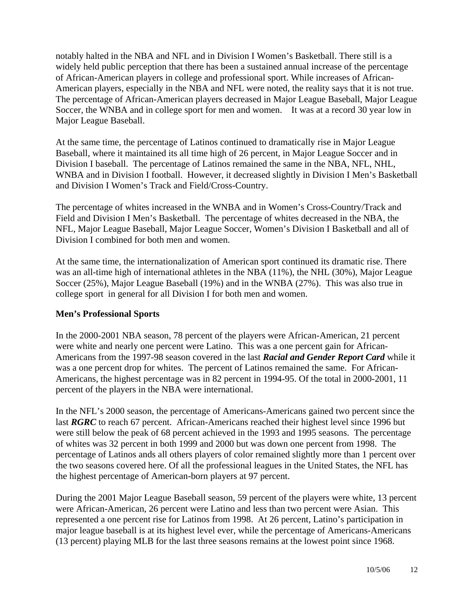notably halted in the NBA and NFL and in Division I Women's Basketball. There still is a widely held public perception that there has been a sustained annual increase of the percentage of African-American players in college and professional sport. While increases of African-American players, especially in the NBA and NFL were noted, the reality says that it is not true. The percentage of African-American players decreased in Major League Baseball, Major League Soccer, the WNBA and in college sport for men and women. It was at a record 30 year low in Major League Baseball.

At the same time, the percentage of Latinos continued to dramatically rise in Major League Baseball, where it maintained its all time high of 26 percent, in Major League Soccer and in Division I baseball. The percentage of Latinos remained the same in the NBA, NFL, NHL, WNBA and in Division I football. However, it decreased slightly in Division I Men's Basketball and Division I Women's Track and Field/Cross-Country.

The percentage of whites increased in the WNBA and in Women's Cross-Country/Track and Field and Division I Men's Basketball. The percentage of whites decreased in the NBA, the NFL, Major League Baseball, Major League Soccer, Women's Division I Basketball and all of Division I combined for both men and women.

At the same time, the internationalization of American sport continued its dramatic rise. There was an all-time high of international athletes in the NBA (11%), the NHL (30%), Major League Soccer (25%), Major League Baseball (19%) and in the WNBA (27%). This was also true in college sport in general for all Division I for both men and women.

#### **Men's Professional Sports**

In the 2000-2001 NBA season, 78 percent of the players were African-American, 21 percent were white and nearly one percent were Latino. This was a one percent gain for African-Americans from the 1997-98 season covered in the last *Racial and Gender Report Card* while it was a one percent drop for whites. The percent of Latinos remained the same. For African-Americans, the highest percentage was in 82 percent in 1994-95. Of the total in 2000-2001, 11 percent of the players in the NBA were international.

In the NFL's 2000 season, the percentage of Americans-Americans gained two percent since the last *RGRC* to reach 67 percent. African-Americans reached their highest level since 1996 but were still below the peak of 68 percent achieved in the 1993 and 1995 seasons. The percentage of whites was 32 percent in both 1999 and 2000 but was down one percent from 1998. The percentage of Latinos ands all others players of color remained slightly more than 1 percent over the two seasons covered here. Of all the professional leagues in the United States, the NFL has the highest percentage of American-born players at 97 percent.

During the 2001 Major League Baseball season, 59 percent of the players were white, 13 percent were African-American, 26 percent were Latino and less than two percent were Asian. This represented a one percent rise for Latinos from 1998. At 26 percent, Latino's participation in major league baseball is at its highest level ever, while the percentage of Americans-Americans (13 percent) playing MLB for the last three seasons remains at the lowest point since 1968.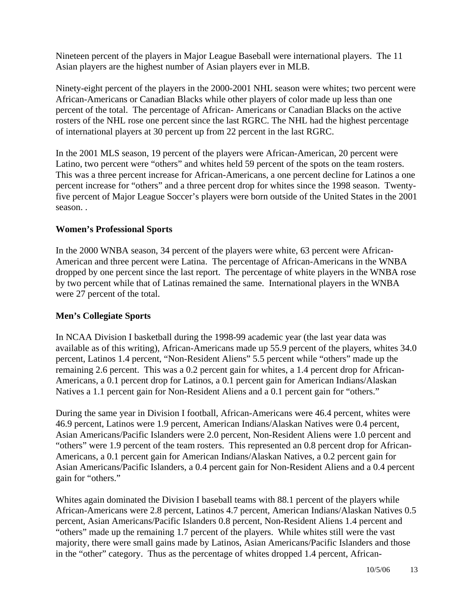Nineteen percent of the players in Major League Baseball were international players. The 11 Asian players are the highest number of Asian players ever in MLB.

Ninety-eight percent of the players in the 2000-2001 NHL season were whites; two percent were African-Americans or Canadian Blacks while other players of color made up less than one percent of the total. The percentage of African- Americans or Canadian Blacks on the active rosters of the NHL rose one percent since the last RGRC. The NHL had the highest percentage of international players at 30 percent up from 22 percent in the last RGRC.

In the 2001 MLS season, 19 percent of the players were African-American, 20 percent were Latino, two percent were "others" and whites held 59 percent of the spots on the team rosters. This was a three percent increase for African-Americans, a one percent decline for Latinos a one percent increase for "others" and a three percent drop for whites since the 1998 season. Twentyfive percent of Major League Soccer's players were born outside of the United States in the 2001 season. .

#### **Women's Professional Sports**

In the 2000 WNBA season, 34 percent of the players were white, 63 percent were African-American and three percent were Latina. The percentage of African-Americans in the WNBA dropped by one percent since the last report. The percentage of white players in the WNBA rose by two percent while that of Latinas remained the same. International players in the WNBA were 27 percent of the total.

#### **Men's Collegiate Sports**

In NCAA Division I basketball during the 1998-99 academic year (the last year data was available as of this writing), African-Americans made up 55.9 percent of the players, whites 34.0 percent, Latinos 1.4 percent, "Non-Resident Aliens" 5.5 percent while "others" made up the remaining 2.6 percent. This was a 0.2 percent gain for whites, a 1.4 percent drop for African-Americans, a 0.1 percent drop for Latinos, a 0.1 percent gain for American Indians/Alaskan Natives a 1.1 percent gain for Non-Resident Aliens and a 0.1 percent gain for "others."

During the same year in Division I football, African-Americans were 46.4 percent, whites were 46.9 percent, Latinos were 1.9 percent, American Indians/Alaskan Natives were 0.4 percent, Asian Americans/Pacific Islanders were 2.0 percent, Non-Resident Aliens were 1.0 percent and "others" were 1.9 percent of the team rosters. This represented an 0.8 percent drop for African-Americans, a 0.1 percent gain for American Indians/Alaskan Natives, a 0.2 percent gain for Asian Americans/Pacific Islanders, a 0.4 percent gain for Non-Resident Aliens and a 0.4 percent gain for "others."

Whites again dominated the Division I baseball teams with 88.1 percent of the players while African-Americans were 2.8 percent, Latinos 4.7 percent, American Indians/Alaskan Natives 0.5 percent, Asian Americans/Pacific Islanders 0.8 percent, Non-Resident Aliens 1.4 percent and "others" made up the remaining 1.7 percent of the players. While whites still were the vast majority, there were small gains made by Latinos, Asian Americans/Pacific Islanders and those in the "other" category. Thus as the percentage of whites dropped 1.4 percent, African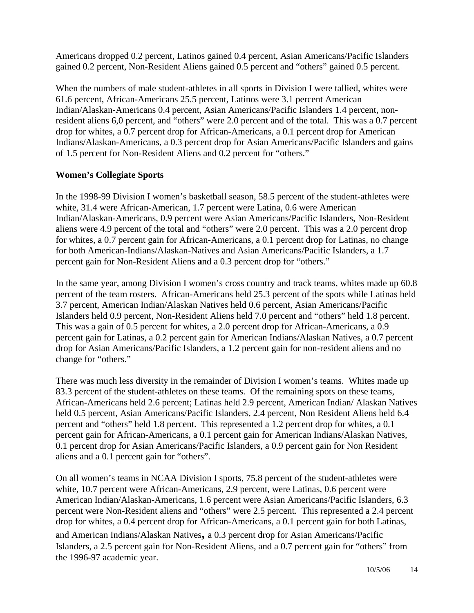Americans dropped 0.2 percent, Latinos gained 0.4 percent, Asian Americans/Pacific Islanders gained 0.2 percent, Non-Resident Aliens gained 0.5 percent and "others" gained 0.5 percent.

When the numbers of male student-athletes in all sports in Division I were tallied, whites were 61.6 percent, African-Americans 25.5 percent, Latinos were 3.1 percent American Indian/Alaskan-Americans 0.4 percent, Asian Americans/Pacific Islanders 1.4 percent, nonresident aliens 6,0 percent, and "others" were 2.0 percent and of the total. This was a 0.7 percent drop for whites, a 0.7 percent drop for African-Americans, a 0.1 percent drop for American Indians/Alaskan-Americans, a 0.3 percent drop for Asian Americans/Pacific Islanders and gains of 1.5 percent for Non-Resident Aliens and 0.2 percent for "others."

#### **Women's Collegiate Sports**

In the 1998-99 Division I women's basketball season, 58.5 percent of the student-athletes were white, 31.4 were African-American, 1.7 percent were Latina, 0.6 were American Indian/Alaskan-Americans, 0.9 percent were Asian Americans/Pacific Islanders, Non-Resident aliens were 4.9 percent of the total and "others" were 2.0 percent. This was a 2.0 percent drop for whites, a 0.7 percent gain for African-Americans, a 0.1 percent drop for Latinas, no change for both American-Indians/Alaskan-Natives and Asian Americans/Pacific Islanders, a 1.7 percent gain for Non-Resident Aliens **a**nd a 0.3 percent drop for "others."

In the same year, among Division I women's cross country and track teams, whites made up 60.8 percent of the team rosters. African-Americans held 25.3 percent of the spots while Latinas held 3.7 percent, American Indian/Alaskan Natives held 0.6 percent, Asian Americans/Pacific Islanders held 0.9 percent, Non-Resident Aliens held 7.0 percent and "others" held 1.8 percent. This was a gain of 0.5 percent for whites, a 2.0 percent drop for African-Americans, a 0.9 percent gain for Latinas, a 0.2 percent gain for American Indians/Alaskan Natives, a 0.7 percent drop for Asian Americans/Pacific Islanders, a 1.2 percent gain for non-resident aliens and no change for "others."

There was much less diversity in the remainder of Division I women's teams. Whites made up 83.3 percent of the student-athletes on these teams. Of the remaining spots on these teams, African-Americans held 2.6 percent; Latinas held 2.9 percent, American Indian/ Alaskan Natives held 0.5 percent, Asian Americans/Pacific Islanders, 2.4 percent, Non Resident Aliens held 6.4 percent and "others" held 1.8 percent. This represented a 1.2 percent drop for whites, a 0.1 percent gain for African-Americans, a 0.1 percent gain for American Indians/Alaskan Natives, 0.1 percent drop for Asian Americans/Pacific Islanders, a 0.9 percent gain for Non Resident aliens and a 0.1 percent gain for "others".

On all women's teams in NCAA Division I sports, 75.8 percent of the student-athletes were white, 10.7 percent were African-Americans, 2.9 percent, were Latinas, 0.6 percent were American Indian/Alaskan-Americans, 1.6 percent were Asian Americans/Pacific Islanders, 6.3 percent were Non-Resident aliens and "others" were 2.5 percent. This represented a 2.4 percent drop for whites, a 0.4 percent drop for African-Americans, a 0.1 percent gain for both Latinas, and American Indians/Alaskan Natives**,** a 0.3 percent drop for Asian Americans/Pacific Islanders, a 2.5 percent gain for Non-Resident Aliens, and a 0.7 percent gain for "others" from the 1996-97 academic year.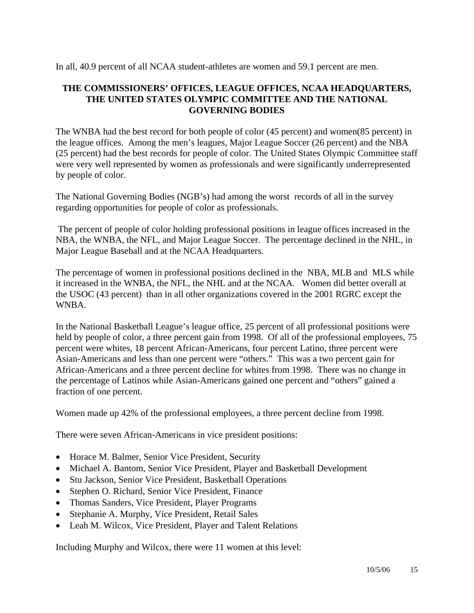In all, 40.9 percent of all NCAA student-athletes are women and 59.1 percent are men.

#### **THE COMMISSIONERS' OFFICES, LEAGUE OFFICES, NCAA HEADQUARTERS, THE UNITED STATES OLYMPIC COMMITTEE AND THE NATIONAL GOVERNING BODIES**

The WNBA had the best record for both people of color (45 percent) and women(85 percent) in the league offices. Among the men's leagues, Major League Soccer (26 percent) and the NBA (25 percent) had the best records for people of color. The United States Olympic Committee staff were very well represented by women as professionals and were significantly underrepresented by people of color.

The National Governing Bodies (NGB's) had among the worst records of all in the survey regarding opportunities for people of color as professionals.

 The percent of people of color holding professional positions in league offices increased in the NBA, the WNBA, the NFL, and Major League Soccer. The percentage declined in the NHL, in Major League Baseball and at the NCAA Headquarters.

The percentage of women in professional positions declined in the NBA, MLB and MLS while it increased in the WNBA, the NFL, the NHL and at the NCAA. Women did better overall at the USOC (43 percent) than in all other organizations covered in the 2001 RGRC except the WNBA.

In the National Basketball League's league office, 25 percent of all professional positions were held by people of color, a three percent gain from 1998. Of all of the professional employees, 75 percent were whites, 18 percent African-Americans, four percent Latino, three percent were Asian-Americans and less than one percent were "others." This was a two percent gain for African-Americans and a three percent decline for whites from 1998. There was no change in the percentage of Latinos while Asian-Americans gained one percent and "others" gained a fraction of one percent.

Women made up 42% of the professional employees, a three percent decline from 1998.

There were seven African-Americans in vice president positions:

- Horace M. Balmer, Senior Vice President, Security
- Michael A. Bantom, Senior Vice President, Player and Basketball Development
- Stu Jackson, Senior Vice President, Basketball Operations
- Stephen O. Richard, Senior Vice President, Finance
- Thomas Sanders, Vice President, Player Programs
- Stephanie A. Murphy, Vice President, Retail Sales
- Leah M. Wilcox, Vice President, Player and Talent Relations

Including Murphy and Wilcox, there were 11 women at this level: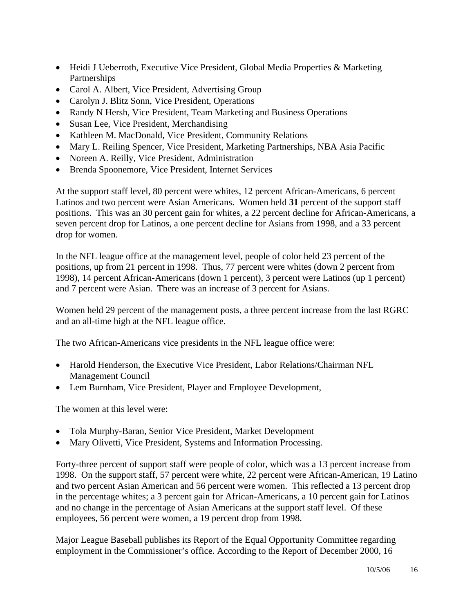- Heidi J Ueberroth, Executive Vice President, Global Media Properties & Marketing **Partnerships**
- Carol A. Albert, Vice President, Advertising Group
- Carolyn J. Blitz Sonn, Vice President, Operations
- Randy N Hersh, Vice President, Team Marketing and Business Operations
- Susan Lee, Vice President, Merchandising
- Kathleen M. MacDonald, Vice President, Community Relations
- Mary L. Reiling Spencer, Vice President, Marketing Partnerships, NBA Asia Pacific
- Noreen A. Reilly, Vice President, Administration
- Brenda Spoonemore, Vice President, Internet Services

At the support staff level, 80 percent were whites, 12 percent African-Americans, 6 percent Latinos and two percent were Asian Americans. Women held **31** percent of the support staff positions. This was an 30 percent gain for whites, a 22 percent decline for African-Americans, a seven percent drop for Latinos, a one percent decline for Asians from 1998, and a 33 percent drop for women.

In the NFL league office at the management level, people of color held 23 percent of the positions, up from 21 percent in 1998. Thus, 77 percent were whites (down 2 percent from 1998), 14 percent African-Americans (down 1 percent), 3 percent were Latinos (up 1 percent) and 7 percent were Asian. There was an increase of 3 percent for Asians.

Women held 29 percent of the management posts, a three percent increase from the last RGRC and an all-time high at the NFL league office.

The two African-Americans vice presidents in the NFL league office were:

- Harold Henderson, the Executive Vice President, Labor Relations/Chairman NFL Management Council
- Lem Burnham, Vice President, Player and Employee Development,

The women at this level were:

- Tola Murphy-Baran, Senior Vice President, Market Development
- Mary Olivetti, Vice President, Systems and Information Processing.

Forty-three percent of support staff were people of color, which was a 13 percent increase from 1998. On the support staff, 57 percent were white, 22 percent were African-American, 19 Latino and two percent Asian American and 56 percent were women. This reflected a 13 percent drop in the percentage whites; a 3 percent gain for African-Americans, a 10 percent gain for Latinos and no change in the percentage of Asian Americans at the support staff level. Of these employees, 56 percent were women, a 19 percent drop from 1998.

Major League Baseball publishes its Report of the Equal Opportunity Committee regarding employment in the Commissioner's office. According to the Report of December 2000, 16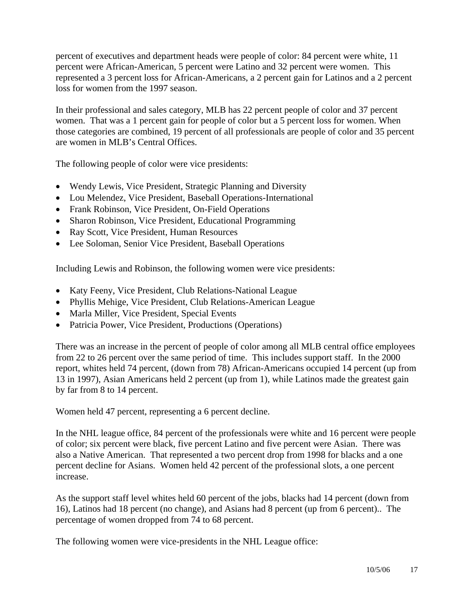percent of executives and department heads were people of color: 84 percent were white, 11 percent were African-American, 5 percent were Latino and 32 percent were women. This represented a 3 percent loss for African-Americans, a 2 percent gain for Latinos and a 2 percent loss for women from the 1997 season.

In their professional and sales category, MLB has 22 percent people of color and 37 percent women. That was a 1 percent gain for people of color but a 5 percent loss for women. When those categories are combined, 19 percent of all professionals are people of color and 35 percent are women in MLB's Central Offices.

The following people of color were vice presidents:

- Wendy Lewis, Vice President, Strategic Planning and Diversity
- Lou Melendez, Vice President, Baseball Operations-International
- Frank Robinson, Vice President, On-Field Operations
- Sharon Robinson, Vice President, Educational Programming
- Ray Scott, Vice President, Human Resources
- Lee Soloman, Senior Vice President, Baseball Operations

Including Lewis and Robinson, the following women were vice presidents:

- Katy Feeny, Vice President, Club Relations-National League
- Phyllis Mehige, Vice President, Club Relations-American League
- Marla Miller, Vice President, Special Events
- Patricia Power, Vice President, Productions (Operations)

There was an increase in the percent of people of color among all MLB central office employees from 22 to 26 percent over the same period of time. This includes support staff. In the 2000 report, whites held 74 percent, (down from 78) African-Americans occupied 14 percent (up from 13 in 1997), Asian Americans held 2 percent (up from 1), while Latinos made the greatest gain by far from 8 to 14 percent.

Women held 47 percent, representing a 6 percent decline.

In the NHL league office, 84 percent of the professionals were white and 16 percent were people of color; six percent were black, five percent Latino and five percent were Asian. There was also a Native American. That represented a two percent drop from 1998 for blacks and a one percent decline for Asians. Women held 42 percent of the professional slots, a one percent increase.

As the support staff level whites held 60 percent of the jobs, blacks had 14 percent (down from 16), Latinos had 18 percent (no change), and Asians had 8 percent (up from 6 percent).. The percentage of women dropped from 74 to 68 percent.

The following women were vice-presidents in the NHL League office: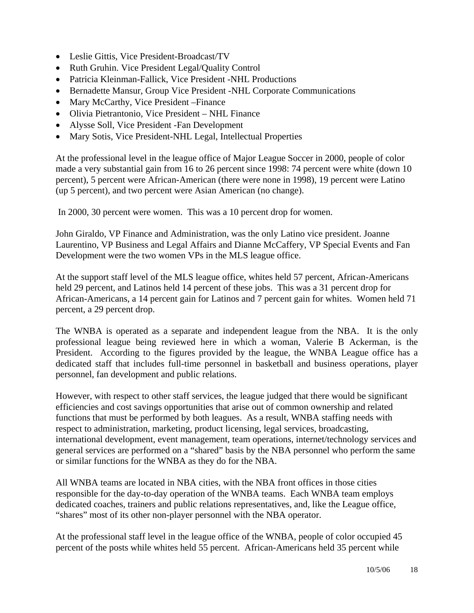- Leslie Gittis, Vice President-Broadcast/TV
- Ruth Gruhin. Vice President Legal/Quality Control
- Patricia Kleinman-Fallick, Vice President -NHL Productions
- Bernadette Mansur, Group Vice President -NHL Corporate Communications
- Mary McCarthy, Vice President Finance
- Olivia Pietrantonio, Vice President NHL Finance
- Alysse Soll, Vice President -Fan Development
- Mary Sotis, Vice President-NHL Legal, Intellectual Properties

At the professional level in the league office of Major League Soccer in 2000, people of color made a very substantial gain from 16 to 26 percent since 1998: 74 percent were white (down 10 percent), 5 percent were African-American (there were none in 1998), 19 percent were Latino (up 5 percent), and two percent were Asian American (no change).

In 2000, 30 percent were women. This was a 10 percent drop for women.

John Giraldo, VP Finance and Administration, was the only Latino vice president. Joanne Laurentino, VP Business and Legal Affairs and Dianne McCaffery, VP Special Events and Fan Development were the two women VPs in the MLS league office.

At the support staff level of the MLS league office, whites held 57 percent, African-Americans held 29 percent, and Latinos held 14 percent of these jobs. This was a 31 percent drop for African-Americans, a 14 percent gain for Latinos and 7 percent gain for whites. Women held 71 percent, a 29 percent drop.

The WNBA is operated as a separate and independent league from the NBA. It is the only professional league being reviewed here in which a woman, Valerie B Ackerman, is the President. According to the figures provided by the league, the WNBA League office has a dedicated staff that includes full-time personnel in basketball and business operations, player personnel, fan development and public relations.

However, with respect to other staff services, the league judged that there would be significant efficiencies and cost savings opportunities that arise out of common ownership and related functions that must be performed by both leagues. As a result, WNBA staffing needs with respect to administration, marketing, product licensing, legal services, broadcasting, international development, event management, team operations, internet/technology services and general services are performed on a "shared" basis by the NBA personnel who perform the same or similar functions for the WNBA as they do for the NBA.

All WNBA teams are located in NBA cities, with the NBA front offices in those cities responsible for the day-to-day operation of the WNBA teams. Each WNBA team employs dedicated coaches, trainers and public relations representatives, and, like the League office, "shares" most of its other non-player personnel with the NBA operator.

At the professional staff level in the league office of the WNBA, people of color occupied 45 percent of the posts while whites held 55 percent. African-Americans held 35 percent while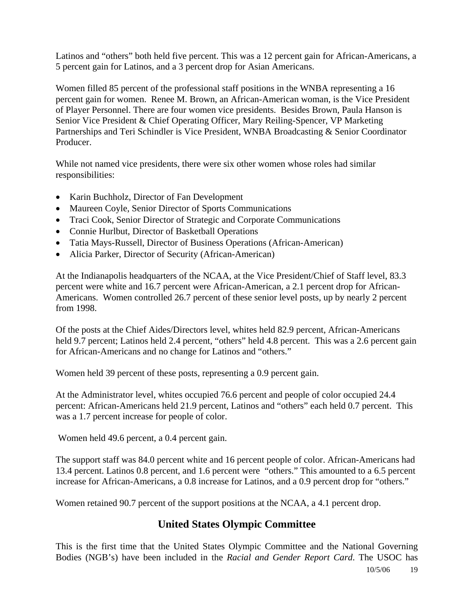Latinos and "others" both held five percent. This was a 12 percent gain for African-Americans, a 5 percent gain for Latinos, and a 3 percent drop for Asian Americans.

Women filled 85 percent of the professional staff positions in the WNBA representing a 16 percent gain for women. Renee M. Brown, an African-American woman, is the Vice President of Player Personnel. There are four women vice presidents. Besides Brown, Paula Hanson is Senior Vice President & Chief Operating Officer, Mary Reiling-Spencer, VP Marketing Partnerships and Teri Schindler is Vice President, WNBA Broadcasting & Senior Coordinator Producer.

While not named vice presidents, there were six other women whose roles had similar responsibilities:

- Karin Buchholz, Director of Fan Development
- Maureen Coyle, Senior Director of Sports Communications
- Traci Cook, Senior Director of Strategic and Corporate Communications
- Connie Hurlbut, Director of Basketball Operations
- Tatia Mays-Russell, Director of Business Operations (African-American)
- Alicia Parker, Director of Security (African-American)

At the Indianapolis headquarters of the NCAA, at the Vice President/Chief of Staff level, 83.3 percent were white and 16.7 percent were African-American, a 2.1 percent drop for African-Americans. Women controlled 26.7 percent of these senior level posts, up by nearly 2 percent from 1998.

Of the posts at the Chief Aides/Directors level, whites held 82.9 percent, African-Americans held 9.7 percent; Latinos held 2.4 percent, "others" held 4.8 percent. This was a 2.6 percent gain for African-Americans and no change for Latinos and "others."

Women held 39 percent of these posts, representing a 0.9 percent gain.

At the Administrator level, whites occupied 76.6 percent and people of color occupied 24.4 percent: African-Americans held 21.9 percent, Latinos and "others" each held 0.7 percent. This was a 1.7 percent increase for people of color.

Women held 49.6 percent, a 0.4 percent gain.

The support staff was 84.0 percent white and 16 percent people of color. African-Americans had 13.4 percent. Latinos 0.8 percent, and 1.6 percent were "others." This amounted to a 6.5 percent increase for African-Americans, a 0.8 increase for Latinos, and a 0.9 percent drop for "others."

Women retained 90.7 percent of the support positions at the NCAA, a 4.1 percent drop.

### **United States Olympic Committee**

This is the first time that the United States Olympic Committee and the National Governing Bodies (NGB's) have been included in the *Racial and Gender Report Card*. The USOC has

10/5/06 19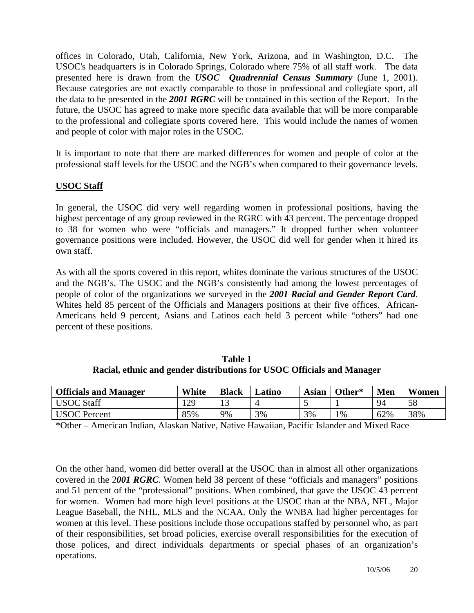offices in Colorado, Utah, California, New York, Arizona, and in Washington, D.C. The USOC's headquarters is in Colorado Springs, Colorado where 75% of all staff work. The data presented here is drawn from the *USOC Quadrennial Census Summary* (June 1, 2001). Because categories are not exactly comparable to those in professional and collegiate sport, all the data to be presented in the *2001 RGRC* will be contained in this section of the Report. In the future, the USOC has agreed to make more specific data available that will be more comparable to the professional and collegiate sports covered here. This would include the names of women and people of color with major roles in the USOC.

It is important to note that there are marked differences for women and people of color at the professional staff levels for the USOC and the NGB's when compared to their governance levels.

#### **USOC Staff**

In general, the USOC did very well regarding women in professional positions, having the highest percentage of any group reviewed in the RGRC with 43 percent. The percentage dropped to 38 for women who were "officials and managers." It dropped further when volunteer governance positions were included. However, the USOC did well for gender when it hired its own staff.

As with all the sports covered in this report, whites dominate the various structures of the USOC and the NGB's. The USOC and the NGB's consistently had among the lowest percentages of people of color of the organizations we surveyed in the *2001 Racial and Gender Report Card*. Whites held 85 percent of the Officials and Managers positions at their five offices. African-Americans held 9 percent, Asians and Latinos each held 3 percent while "others" had one percent of these positions.

| Table 1                                                                |
|------------------------------------------------------------------------|
| Racial, ethnic and gender distributions for USOC Officials and Manager |

| <b>Officials and Manager</b> | White | <b>Black</b> | <b>⊿atino</b> | <b>Asian</b> | Other* | Men | Women |
|------------------------------|-------|--------------|---------------|--------------|--------|-----|-------|
| <b>USOC Staff</b>            | 129   | ⊥J           |               |              |        | 94  | 58    |
| <b>USOC</b> Percent          | 85%   | 9%           | 3%            | 3%           | $1\%$  | 62% | 38%   |

\*Other – American Indian, Alaskan Native, Native Hawaiian, Pacific Islander and Mixed Race

On the other hand, women did better overall at the USOC than in almost all other organizations covered in the 2*001 RGRC*. Women held 38 percent of these "officials and managers" positions and 51 percent of the "professional" positions. When combined, that gave the USOC 43 percent for women. Women had more high level positions at the USOC than at the NBA, NFL, Major League Baseball, the NHL, MLS and the NCAA. Only the WNBA had higher percentages for women at this level. These positions include those occupations staffed by personnel who, as part of their responsibilities, set broad policies, exercise overall responsibilities for the execution of those polices, and direct individuals departments or special phases of an organization's operations.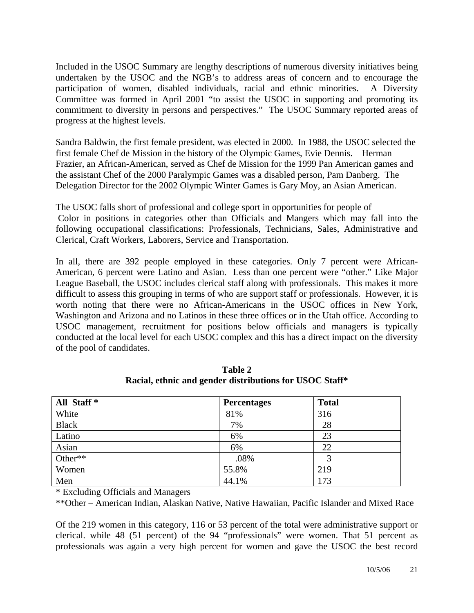Included in the USOC Summary are lengthy descriptions of numerous diversity initiatives being undertaken by the USOC and the NGB's to address areas of concern and to encourage the participation of women, disabled individuals, racial and ethnic minorities. A Diversity Committee was formed in April 2001 "to assist the USOC in supporting and promoting its commitment to diversity in persons and perspectives." The USOC Summary reported areas of progress at the highest levels.

Sandra Baldwin, the first female president, was elected in 2000. In 1988, the USOC selected the first female Chef de Mission in the history of the Olympic Games, Evie Dennis. Herman Frazier, an African-American, served as Chef de Mission for the 1999 Pan American games and the assistant Chef of the 2000 Paralympic Games was a disabled person, Pam Danberg. The Delegation Director for the 2002 Olympic Winter Games is Gary Moy, an Asian American.

The USOC falls short of professional and college sport in opportunities for people of Color in positions in categories other than Officials and Mangers which may fall into the following occupational classifications: Professionals, Technicians, Sales, Administrative and Clerical, Craft Workers, Laborers, Service and Transportation.

In all, there are 392 people employed in these categories. Only 7 percent were African-American, 6 percent were Latino and Asian. Less than one percent were "other." Like Major League Baseball, the USOC includes clerical staff along with professionals. This makes it more difficult to assess this grouping in terms of who are support staff or professionals. However, it is worth noting that there were no African-Americans in the USOC offices in New York, Washington and Arizona and no Latinos in these three offices or in the Utah office. According to USOC management, recruitment for positions below officials and managers is typically conducted at the local level for each USOC complex and this has a direct impact on the diversity of the pool of candidates.

| All Staff <sup>*</sup> | <b>Percentages</b> | <b>Total</b> |
|------------------------|--------------------|--------------|
| White                  | 81%                | 316          |
| <b>Black</b>           | 7%                 | 28           |
| Latino                 | 6%                 | 23           |
| Asian                  | 6%                 | 22           |
| Other**                | .08%               |              |
| Women                  | 55.8%              | 219          |
| Men                    | 44.1%              | 173          |

**Table 2 Racial, ethnic and gender distributions for USOC Staff\*** 

\* Excluding Officials and Managers

\*\*Other – American Indian, Alaskan Native, Native Hawaiian, Pacific Islander and Mixed Race

Of the 219 women in this category, 116 or 53 percent of the total were administrative support or clerical. while 48 (51 percent) of the 94 "professionals" were women. That 51 percent as professionals was again a very high percent for women and gave the USOC the best record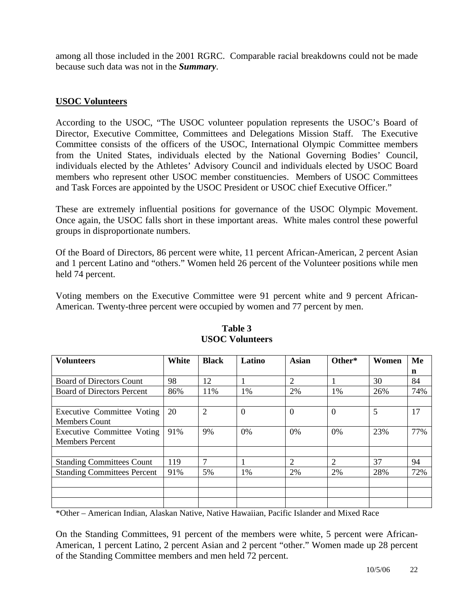among all those included in the 2001 RGRC. Comparable racial breakdowns could not be made because such data was not in the *Summary*.

#### **USOC Volunteers**

According to the USOC, "The USOC volunteer population represents the USOC's Board of Director, Executive Committee, Committees and Delegations Mission Staff. The Executive Committee consists of the officers of the USOC, International Olympic Committee members from the United States, individuals elected by the National Governing Bodies' Council, individuals elected by the Athletes' Advisory Council and individuals elected by USOC Board members who represent other USOC member constituencies. Members of USOC Committees and Task Forces are appointed by the USOC President or USOC chief Executive Officer."

These are extremely influential positions for governance of the USOC Olympic Movement. Once again, the USOC falls short in these important areas. White males control these powerful groups in disproportionate numbers.

Of the Board of Directors, 86 percent were white, 11 percent African-American, 2 percent Asian and 1 percent Latino and "others." Women held 26 percent of the Volunteer positions while men held 74 percent.

Voting members on the Executive Committee were 91 percent white and 9 percent African-American. Twenty-three percent were occupied by women and 77 percent by men.

| <b>Volunteers</b>                  | White | <b>Black</b>   | Latino         | <b>Asian</b>   | Other*         | Women | Me  |
|------------------------------------|-------|----------------|----------------|----------------|----------------|-------|-----|
|                                    |       |                |                |                |                |       | n   |
| <b>Board of Directors Count</b>    | 98    | 12             |                | $\overline{2}$ |                | 30    | 84  |
| <b>Board of Directors Percent</b>  | 86%   | 11%            | 1%             | 2%             | 1%             | 26%   | 74% |
|                                    |       |                |                |                |                |       |     |
| Executive Committee Voting         | 20    | $\overline{2}$ | $\overline{0}$ | $\theta$       | $\theta$       | 5     | 17  |
| <b>Members Count</b>               |       |                |                |                |                |       |     |
| Executive Committee Voting         | 91%   | 9%             | 0%             | 0%             | 0%             | 23%   | 77% |
| <b>Members Percent</b>             |       |                |                |                |                |       |     |
|                                    |       |                |                |                |                |       |     |
| <b>Standing Committees Count</b>   | 119   | 7              |                | $\mathfrak{D}$ | $\overline{2}$ | 37    | 94  |
| <b>Standing Committees Percent</b> | 91%   | 5%             | 1%             | 2%             | 2%             | 28%   | 72% |
|                                    |       |                |                |                |                |       |     |
|                                    |       |                |                |                |                |       |     |
|                                    |       |                |                |                |                |       |     |

#### **Table 3 USOC Volunteers**

\*Other – American Indian, Alaskan Native, Native Hawaiian, Pacific Islander and Mixed Race

On the Standing Committees, 91 percent of the members were white, 5 percent were African-American, 1 percent Latino, 2 percent Asian and 2 percent "other." Women made up 28 percent of the Standing Committee members and men held 72 percent.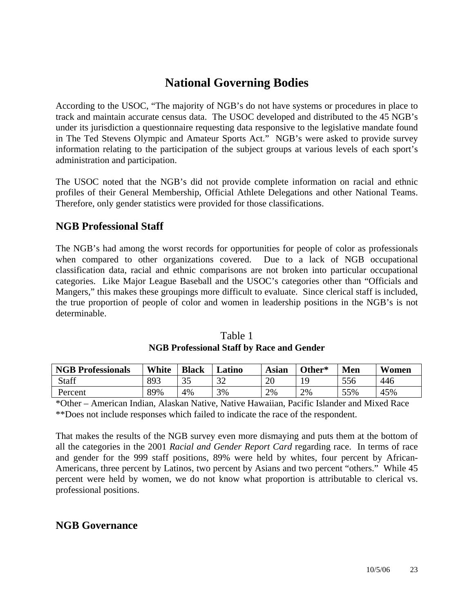## **National Governing Bodies**

According to the USOC, "The majority of NGB's do not have systems or procedures in place to track and maintain accurate census data. The USOC developed and distributed to the 45 NGB's under its jurisdiction a questionnaire requesting data responsive to the legislative mandate found in The Ted Stevens Olympic and Amateur Sports Act." NGB's were asked to provide survey information relating to the participation of the subject groups at various levels of each sport's administration and participation.

The USOC noted that the NGB's did not provide complete information on racial and ethnic profiles of their General Membership, Official Athlete Delegations and other National Teams. Therefore, only gender statistics were provided for those classifications.

### **NGB Professional Staff**

The NGB's had among the worst records for opportunities for people of color as professionals when compared to other organizations covered. Due to a lack of NGB occupational classification data, racial and ethnic comparisons are not broken into particular occupational categories. Like Major League Baseball and the USOC's categories other than "Officials and Mangers," this makes these groupings more difficult to evaluate. Since clerical staff is included, the true proportion of people of color and women in leadership positions in the NGB's is not determinable.

| <b>NGB Professionals</b> | White | <b>Black</b> | ∟atino | Asian | Other* | <b>Men</b> | Women |
|--------------------------|-------|--------------|--------|-------|--------|------------|-------|
| Staff                    | 893   | 25<br>СC     | 32     | 20    | ۱O     | 556        | 446   |
| Percent                  | 89%   | 4%           | 3%     | 2%    | 2%     | 55%        | 45%   |

| Table 1                                          |
|--------------------------------------------------|
| <b>NGB Professional Staff by Race and Gender</b> |

\*Other – American Indian, Alaskan Native, Native Hawaiian, Pacific Islander and Mixed Race \*\*Does not include responses which failed to indicate the race of the respondent.

That makes the results of the NGB survey even more dismaying and puts them at the bottom of all the categories in the 2001 *Racial and Gender Report Card* regarding race. In terms of race and gender for the 999 staff positions, 89% were held by whites, four percent by African-Americans, three percent by Latinos, two percent by Asians and two percent "others." While 45 percent were held by women, we do not know what proportion is attributable to clerical vs. professional positions.

### **NGB Governance**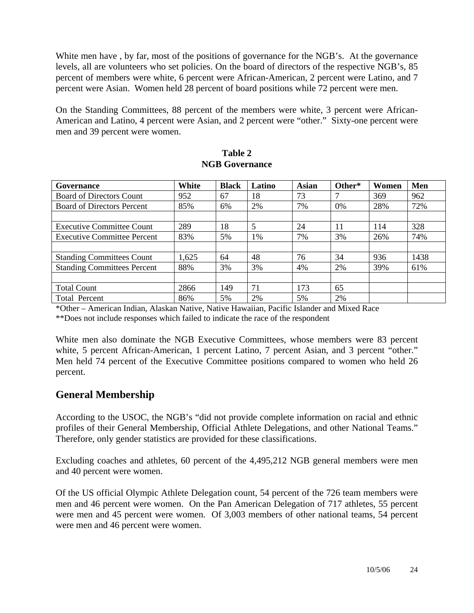White men have, by far, most of the positions of governance for the NGB's. At the governance levels, all are volunteers who set policies. On the board of directors of the respective NGB's, 85 percent of members were white, 6 percent were African-American, 2 percent were Latino, and 7 percent were Asian. Women held 28 percent of board positions while 72 percent were men.

On the Standing Committees, 88 percent of the members were white, 3 percent were African-American and Latino, 4 percent were Asian, and 2 percent were "other." Sixty-one percent were men and 39 percent were women.

| Governance                         | White | <b>Black</b> | Latino | <b>Asian</b> | Other* | Women | Men  |
|------------------------------------|-------|--------------|--------|--------------|--------|-------|------|
| <b>Board of Directors Count</b>    | 952   | 67           | 18     | 73           |        | 369   | 962  |
| <b>Board of Directors Percent</b>  | 85%   | 6%           | 2%     | 7%           | 0%     | 28%   | 72%  |
|                                    |       |              |        |              |        |       |      |
| <b>Executive Committee Count</b>   | 289   | 18           | 5      | 24           | 11     | 114   | 328  |
| Executive Committee Percent        | 83%   | 5%           | $1\%$  | 7%           | 3%     | 26%   | 74%  |
|                                    |       |              |        |              |        |       |      |
| <b>Standing Committees Count</b>   | 1,625 | 64           | 48     | 76           | 34     | 936   | 1438 |
| <b>Standing Committees Percent</b> | 88%   | 3%           | 3%     | 4%           | 2%     | 39%   | 61%  |
|                                    |       |              |        |              |        |       |      |
| <b>Total Count</b>                 | 2866  | 149          | 71     | 173          | 65     |       |      |
| Total Percent                      | 86%   | 5%           | 2%     | 5%           | 2%     |       |      |

| Table 2               |
|-----------------------|
| <b>NGB Governance</b> |

\*Other – American Indian, Alaskan Native, Native Hawaiian, Pacific Islander and Mixed Race

\*\*Does not include responses which failed to indicate the race of the respondent

White men also dominate the NGB Executive Committees, whose members were 83 percent white, 5 percent African-American, 1 percent Latino, 7 percent Asian, and 3 percent "other." Men held 74 percent of the Executive Committee positions compared to women who held 26 percent.

### **General Membership**

According to the USOC, the NGB's "did not provide complete information on racial and ethnic profiles of their General Membership, Official Athlete Delegations, and other National Teams." Therefore, only gender statistics are provided for these classifications.

Excluding coaches and athletes, 60 percent of the 4,495,212 NGB general members were men and 40 percent were women.

Of the US official Olympic Athlete Delegation count, 54 percent of the 726 team members were men and 46 percent were women. On the Pan American Delegation of 717 athletes, 55 percent were men and 45 percent were women. Of 3,003 members of other national teams, 54 percent were men and 46 percent were women.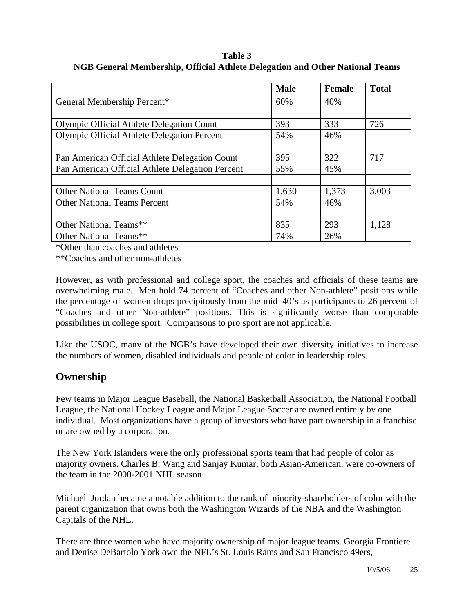**Table 3 NGB General Membership, Official Athlete Delegation and Other National Teams** 

|                                                    | <b>Male</b> | <b>Female</b> | <b>Total</b> |
|----------------------------------------------------|-------------|---------------|--------------|
| General Membership Percent*                        | 60%         | 40%           |              |
|                                                    |             |               |              |
| Olympic Official Athlete Delegation Count          | 393         | 333           | 726          |
| <b>Olympic Official Athlete Delegation Percent</b> | 54%         | 46%           |              |
|                                                    |             |               |              |
| Pan American Official Athlete Delegation Count     | 395         | 322           | 717          |
| Pan American Official Athlete Delegation Percent   | 55%         | 45%           |              |
|                                                    |             |               |              |
| <b>Other National Teams Count</b>                  | 1,630       | 1,373         | 3,003        |
| <b>Other National Teams Percent</b>                | 54%         | 46%           |              |
|                                                    |             |               |              |
| Other National Teams**                             | 835         | 293           | 1,128        |
| Other National Teams**                             | 74%         | 26%           |              |

\*Other than coaches and athletes

\*\*Coaches and other non-athletes

However, as with professional and college sport, the coaches and officials of these teams are overwhelming male. Men hold 74 percent of "Coaches and other Non-athlete" positions while the percentage of women drops precipitously from the mid–40's as participants to 26 percent of "Coaches and other Non-athlete" positions. This is significantly worse than comparable possibilities in college sport. Comparisons to pro sport are not applicable.

Like the USOC, many of the NGB's have developed their own diversity initiatives to increase the numbers of women, disabled individuals and people of color in leadership roles.

### **Ownership**

Few teams in Major League Baseball, the National Basketball Association, the National Football League, the National Hockey League and Major League Soccer are owned entirely by one individual. Most organizations have a group of investors who have part ownership in a franchise or are owned by a corporation.

The New York Islanders were the only professional sports team that had people of color as majority owners. Charles B. Wang and Sanjay Kumar, both Asian-American, were co-owners of the team in the 2000-2001 NHL season.

Michael Jordan became a notable addition to the rank of minority-shareholders of color with the parent organization that owns both the Washington Wizards of the NBA and the Washington Capitals of the NHL.

There are three women who have majority ownership of major league teams. Georgia Frontiere and Denise DeBartolo York own the NFL's St. Louis Rams and San Francisco 49ers,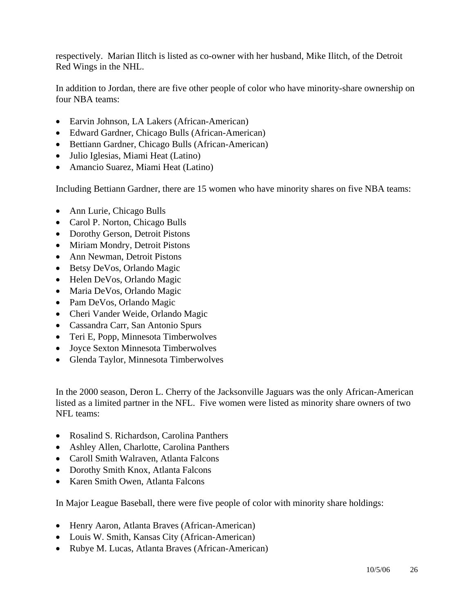respectively. Marian Ilitch is listed as co-owner with her husband, Mike Ilitch, of the Detroit Red Wings in the NHL.

In addition to Jordan, there are five other people of color who have minority-share ownership on four NBA teams:

- Earvin Johnson, LA Lakers (African-American)
- Edward Gardner, Chicago Bulls (African-American)
- Bettiann Gardner, Chicago Bulls (African-American)
- Julio Iglesias, Miami Heat (Latino)
- Amancio Suarez, Miami Heat (Latino)

Including Bettiann Gardner, there are 15 women who have minority shares on five NBA teams:

- Ann Lurie, Chicago Bulls
- Carol P. Norton, Chicago Bulls
- Dorothy Gerson, Detroit Pistons
- Miriam Mondry, Detroit Pistons
- Ann Newman, Detroit Pistons
- Betsy DeVos, Orlando Magic
- Helen DeVos, Orlando Magic
- Maria DeVos, Orlando Magic
- Pam DeVos, Orlando Magic
- Cheri Vander Weide, Orlando Magic
- Cassandra Carr, San Antonio Spurs
- Teri E, Popp, Minnesota Timberwolves
- Joyce Sexton Minnesota Timberwolves
- Glenda Taylor, Minnesota Timberwolves

In the 2000 season, Deron L. Cherry of the Jacksonville Jaguars was the only African-American listed as a limited partner in the NFL. Five women were listed as minority share owners of two NFL teams:

- Rosalind S. Richardson, Carolina Panthers
- Ashley Allen, Charlotte, Carolina Panthers
- Caroll Smith Walraven, Atlanta Falcons
- Dorothy Smith Knox, Atlanta Falcons
- Karen Smith Owen, Atlanta Falcons

In Major League Baseball, there were five people of color with minority share holdings:

- Henry Aaron, Atlanta Braves (African-American)
- Louis W. Smith, Kansas City (African-American)
- Rubye M. Lucas, Atlanta Braves (African-American)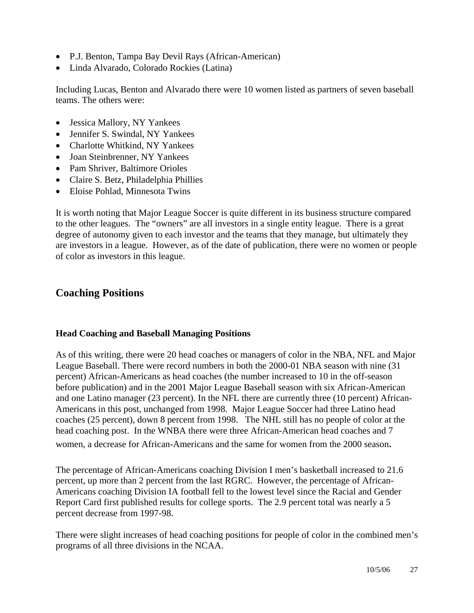- P.J. Benton, Tampa Bay Devil Rays (African-American)
- Linda Alvarado, Colorado Rockies (Latina)

Including Lucas, Benton and Alvarado there were 10 women listed as partners of seven baseball teams. The others were:

- Jessica Mallory, NY Yankees
- Jennifer S. Swindal, NY Yankees
- Charlotte Whitkind, NY Yankees
- Joan Steinbrenner, NY Yankees
- Pam Shriver, Baltimore Orioles
- Claire S. Betz, Philadelphia Phillies
- Eloise Pohlad, Minnesota Twins

It is worth noting that Major League Soccer is quite different in its business structure compared to the other leagues. The "owners" are all investors in a single entity league. There is a great degree of autonomy given to each investor and the teams that they manage, but ultimately they are investors in a league. However, as of the date of publication, there were no women or people of color as investors in this league.

### **Coaching Positions**

#### **Head Coaching and Baseball Managing Positions**

As of this writing, there were 20 head coaches or managers of color in the NBA, NFL and Major League Baseball. There were record numbers in both the 2000-01 NBA season with nine (31 percent) African-Americans as head coaches (the number increased to 10 in the off-season before publication) and in the 2001 Major League Baseball season with six African-American and one Latino manager (23 percent). In the NFL there are currently three (10 percent) African-Americans in this post, unchanged from 1998. Major League Soccer had three Latino head coaches (25 percent), down 8 percent from 1998. The NHL still has no people of color at the head coaching post. In the WNBA there were three African-American head coaches and 7 women, a decrease for African-Americans and the same for women from the 2000 season.

The percentage of African-Americans coaching Division I men's basketball increased to 21.6 percent, up more than 2 percent from the last RGRC. However, the percentage of African-Americans coaching Division IA football fell to the lowest level since the Racial and Gender Report Card first published results for college sports. The 2.9 percent total was nearly a 5 percent decrease from 1997-98.

There were slight increases of head coaching positions for people of color in the combined men's programs of all three divisions in the NCAA.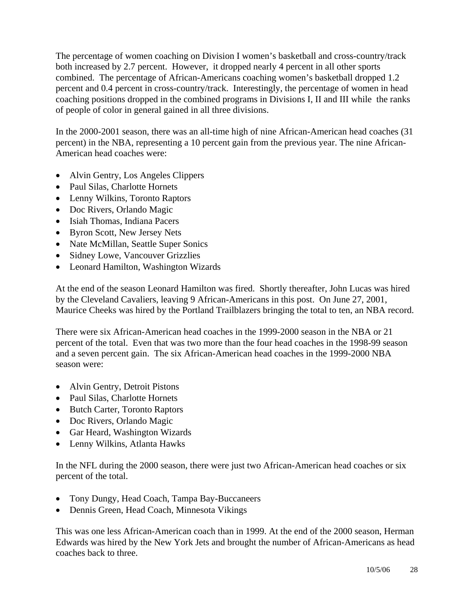The percentage of women coaching on Division I women's basketball and cross-country/track both increased by 2.7 percent. However, it dropped nearly 4 percent in all other sports combined. The percentage of African-Americans coaching women's basketball dropped 1.2 percent and 0.4 percent in cross-country/track. Interestingly, the percentage of women in head coaching positions dropped in the combined programs in Divisions I, II and III while the ranks of people of color in general gained in all three divisions.

In the 2000-2001 season, there was an all-time high of nine African-American head coaches (31 percent) in the NBA, representing a 10 percent gain from the previous year. The nine African-American head coaches were:

- Alvin Gentry, Los Angeles Clippers
- Paul Silas, Charlotte Hornets
- Lenny Wilkins, Toronto Raptors
- Doc Rivers, Orlando Magic
- Isiah Thomas, Indiana Pacers
- Byron Scott, New Jersey Nets
- Nate McMillan, Seattle Super Sonics
- Sidney Lowe, Vancouver Grizzlies
- Leonard Hamilton, Washington Wizards

At the end of the season Leonard Hamilton was fired. Shortly thereafter, John Lucas was hired by the Cleveland Cavaliers, leaving 9 African-Americans in this post. On June 27, 2001, Maurice Cheeks was hired by the Portland Trailblazers bringing the total to ten, an NBA record.

There were six African-American head coaches in the 1999-2000 season in the NBA or 21 percent of the total. Even that was two more than the four head coaches in the 1998-99 season and a seven percent gain. The six African-American head coaches in the 1999-2000 NBA season were:

- Alvin Gentry, Detroit Pistons
- Paul Silas, Charlotte Hornets
- Butch Carter, Toronto Raptors
- Doc Rivers, Orlando Magic
- Gar Heard, Washington Wizards
- Lenny Wilkins, Atlanta Hawks

In the NFL during the 2000 season, there were just two African-American head coaches or six percent of the total.

- Tony Dungy, Head Coach, Tampa Bay-Buccaneers
- Dennis Green, Head Coach, Minnesota Vikings

This was one less African-American coach than in 1999. At the end of the 2000 season, Herman Edwards was hired by the New York Jets and brought the number of African-Americans as head coaches back to three.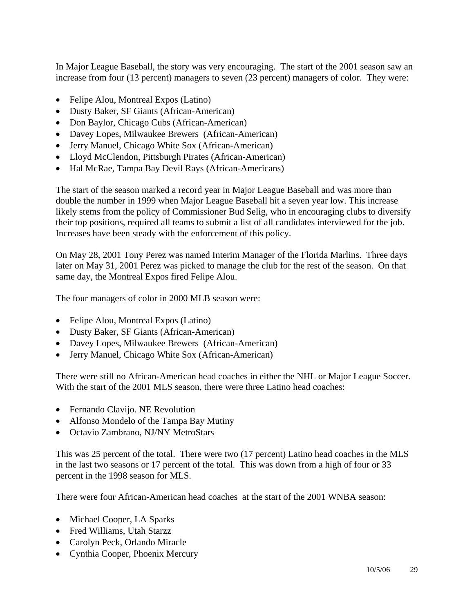In Major League Baseball, the story was very encouraging. The start of the 2001 season saw an increase from four (13 percent) managers to seven (23 percent) managers of color. They were:

- Felipe Alou, Montreal Expos (Latino)
- Dusty Baker, SF Giants (African-American)
- Don Baylor, Chicago Cubs (African-American)
- Davey Lopes, Milwaukee Brewers (African-American)
- Jerry Manuel, Chicago White Sox (African-American)
- Lloyd McClendon, Pittsburgh Pirates (African-American)
- Hal McRae, Tampa Bay Devil Rays (African-Americans)

The start of the season marked a record year in Major League Baseball and was more than double the number in 1999 when Major League Baseball hit a seven year low. This increase likely stems from the policy of Commissioner Bud Selig, who in encouraging clubs to diversify their top positions, required all teams to submit a list of all candidates interviewed for the job. Increases have been steady with the enforcement of this policy.

On May 28, 2001 Tony Perez was named Interim Manager of the Florida Marlins. Three days later on May 31, 2001 Perez was picked to manage the club for the rest of the season. On that same day, the Montreal Expos fired Felipe Alou.

The four managers of color in 2000 MLB season were:

- Felipe Alou, Montreal Expos (Latino)
- Dusty Baker, SF Giants (African-American)
- Davey Lopes, Milwaukee Brewers (African-American)
- Jerry Manuel, Chicago White Sox (African-American)

There were still no African-American head coaches in either the NHL or Major League Soccer. With the start of the 2001 MLS season, there were three Latino head coaches:

- Fernando Clavijo. NE Revolution
- Alfonso Mondelo of the Tampa Bay Mutiny
- Octavio Zambrano, NJ/NY MetroStars

This was 25 percent of the total. There were two (17 percent) Latino head coaches in the MLS in the last two seasons or 17 percent of the total. This was down from a high of four or 33 percent in the 1998 season for MLS.

There were four African-American head coaches at the start of the 2001 WNBA season:

- Michael Cooper, LA Sparks
- Fred Williams, Utah Starzz
- Carolyn Peck, Orlando Miracle
- Cynthia Cooper, Phoenix Mercury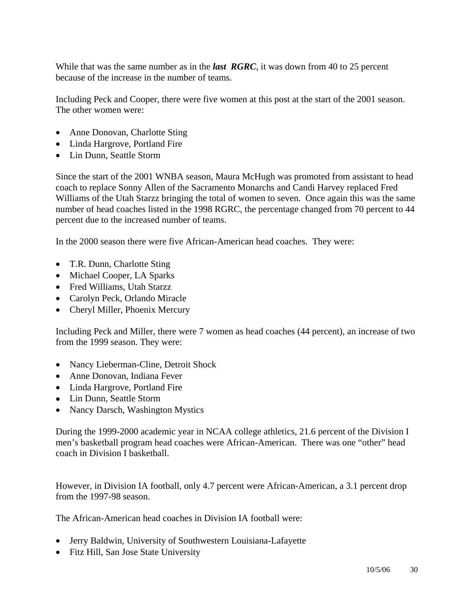While that was the same number as in the *last RGRC*, it was down from 40 to 25 percent because of the increase in the number of teams.

Including Peck and Cooper, there were five women at this post at the start of the 2001 season. The other women were:

- Anne Donovan, Charlotte Sting
- Linda Hargrove, Portland Fire
- Lin Dunn, Seattle Storm

Since the start of the 2001 WNBA season, Maura McHugh was promoted from assistant to head coach to replace Sonny Allen of the Sacramento Monarchs and Candi Harvey replaced Fred Williams of the Utah Starzz bringing the total of women to seven. Once again this was the same number of head coaches listed in the 1998 RGRC, the percentage changed from 70 percent to 44 percent due to the increased number of teams.

In the 2000 season there were five African-American head coaches. They were:

- T.R. Dunn, Charlotte Sting
- Michael Cooper, LA Sparks
- Fred Williams, Utah Starzz
- Carolyn Peck, Orlando Miracle
- Cheryl Miller, Phoenix Mercury

Including Peck and Miller, there were 7 women as head coaches (44 percent), an increase of two from the 1999 season. They were:

- Nancy Lieberman-Cline, Detroit Shock
- Anne Donovan, Indiana Fever
- Linda Hargrove, Portland Fire
- Lin Dunn, Seattle Storm
- Nancy Darsch, Washington Mystics

During the 1999-2000 academic year in NCAA college athletics, 21.6 percent of the Division I men's basketball program head coaches were African-American. There was one "other" head coach in Division I basketball.

However, in Division IA football, only 4.7 percent were African-American, a 3.1 percent drop from the 1997-98 season.

The African-American head coaches in Division IA football were:

- Jerry Baldwin, University of Southwestern Louisiana-Lafayette
- Fitz Hill, San Jose State University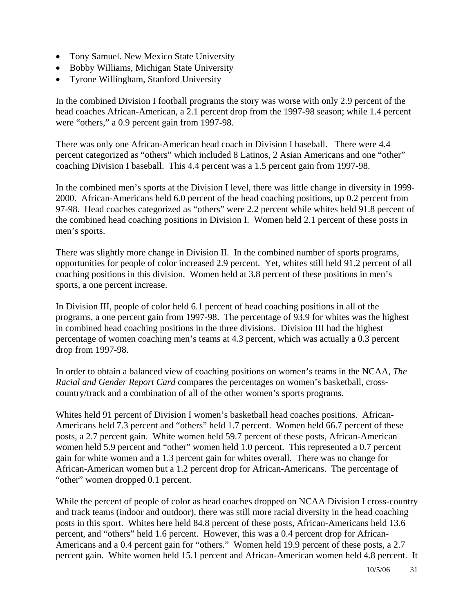- Tony Samuel. New Mexico State University
- Bobby Williams, Michigan State University
- Tyrone Willingham, Stanford University

In the combined Division I football programs the story was worse with only 2.9 percent of the head coaches African-American, a 2.1 percent drop from the 1997-98 season; while 1.4 percent were "others," a 0.9 percent gain from 1997-98.

There was only one African-American head coach in Division I baseball. There were 4.4 percent categorized as "others" which included 8 Latinos, 2 Asian Americans and one "other" coaching Division I baseball. This 4.4 percent was a 1.5 percent gain from 1997-98.

In the combined men's sports at the Division I level, there was little change in diversity in 1999- 2000. African-Americans held 6.0 percent of the head coaching positions, up 0.2 percent from 97-98. Head coaches categorized as "others" were 2.2 percent while whites held 91.8 percent of the combined head coaching positions in Division I. Women held 2.1 percent of these posts in men's sports.

There was slightly more change in Division II. In the combined number of sports programs, opportunities for people of color increased 2.9 percent. Yet, whites still held 91.2 percent of all coaching positions in this division. Women held at 3.8 percent of these positions in men's sports, a one percent increase.

In Division III, people of color held 6.1 percent of head coaching positions in all of the programs, a one percent gain from 1997-98. The percentage of 93.9 for whites was the highest in combined head coaching positions in the three divisions. Division III had the highest percentage of women coaching men's teams at 4.3 percent, which was actually a 0.3 percent drop from 1997-98.

In order to obtain a balanced view of coaching positions on women's teams in the NCAA, *The Racial and Gender Report Card* compares the percentages on women's basketball, crosscountry/track and a combination of all of the other women's sports programs.

Whites held 91 percent of Division I women's basketball head coaches positions. African-Americans held 7.3 percent and "others" held 1.7 percent. Women held 66.7 percent of these posts, a 2.7 percent gain. White women held 59.7 percent of these posts, African-American women held 5.9 percent and "other" women held 1.0 percent. This represented a 0.7 percent gain for white women and a 1.3 percent gain for whites overall. There was no change for African-American women but a 1.2 percent drop for African-Americans. The percentage of "other" women dropped 0.1 percent.

While the percent of people of color as head coaches dropped on NCAA Division I cross-country and track teams (indoor and outdoor), there was still more racial diversity in the head coaching posts in this sport. Whites here held 84.8 percent of these posts, African-Americans held 13.6 percent, and "others" held 1.6 percent. However, this was a 0.4 percent drop for African-Americans and a 0.4 percent gain for "others." Women held 19.9 percent of these posts, a 2.7 percent gain. White women held 15.1 percent and African-American women held 4.8 percent. It

10/5/06 31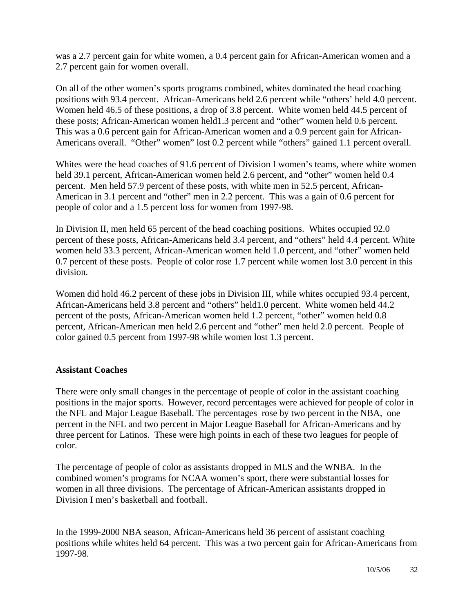was a 2.7 percent gain for white women, a 0.4 percent gain for African-American women and a 2.7 percent gain for women overall.

On all of the other women's sports programs combined, whites dominated the head coaching positions with 93.4 percent. African-Americans held 2.6 percent while "others' held 4.0 percent. Women held 46.5 of these positions, a drop of 3.8 percent. White women held 44.5 percent of these posts; African-American women held1.3 percent and "other" women held 0.6 percent. This was a 0.6 percent gain for African-American women and a 0.9 percent gain for African-Americans overall. "Other" women" lost 0.2 percent while "others" gained 1.1 percent overall.

Whites were the head coaches of 91.6 percent of Division I women's teams, where white women held 39.1 percent, African-American women held 2.6 percent, and "other" women held 0.4 percent. Men held 57.9 percent of these posts, with white men in 52.5 percent, African-American in 3.1 percent and "other" men in 2.2 percent. This was a gain of 0.6 percent for people of color and a 1.5 percent loss for women from 1997-98.

In Division II, men held 65 percent of the head coaching positions. Whites occupied 92.0 percent of these posts, African-Americans held 3.4 percent, and "others" held 4.4 percent. White women held 33.3 percent, African-American women held 1.0 percent, and "other" women held 0.7 percent of these posts. People of color rose 1.7 percent while women lost 3.0 percent in this division.

Women did hold 46.2 percent of these jobs in Division III, while whites occupied 93.4 percent, African-Americans held 3.8 percent and "others" held1.0 percent. White women held 44.2 percent of the posts, African-American women held 1.2 percent, "other" women held 0.8 percent, African-American men held 2.6 percent and "other" men held 2.0 percent. People of color gained 0.5 percent from 1997-98 while women lost 1.3 percent.

#### **Assistant Coaches**

There were only small changes in the percentage of people of color in the assistant coaching positions in the major sports. However, record percentages were achieved for people of color in the NFL and Major League Baseball. The percentages rose by two percent in the NBA, one percent in the NFL and two percent in Major League Baseball for African-Americans and by three percent for Latinos. These were high points in each of these two leagues for people of color.

The percentage of people of color as assistants dropped in MLS and the WNBA. In the combined women's programs for NCAA women's sport, there were substantial losses for women in all three divisions. The percentage of African-American assistants dropped in Division I men's basketball and football.

In the 1999-2000 NBA season, African-Americans held 36 percent of assistant coaching positions while whites held 64 percent. This was a two percent gain for African-Americans from 1997-98.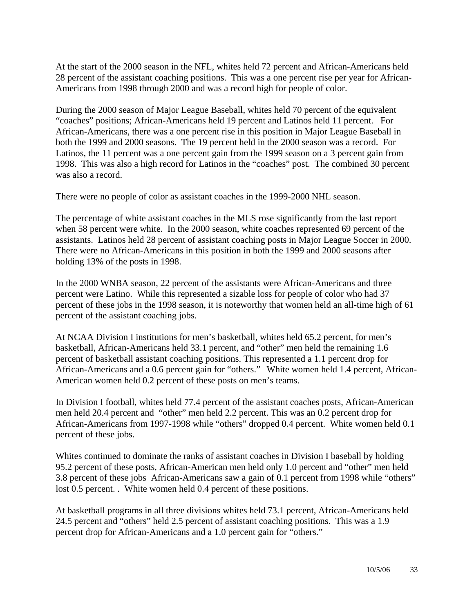At the start of the 2000 season in the NFL, whites held 72 percent and African-Americans held 28 percent of the assistant coaching positions. This was a one percent rise per year for African-Americans from 1998 through 2000 and was a record high for people of color.

During the 2000 season of Major League Baseball, whites held 70 percent of the equivalent "coaches" positions; African-Americans held 19 percent and Latinos held 11 percent. For African-Americans, there was a one percent rise in this position in Major League Baseball in both the 1999 and 2000 seasons. The 19 percent held in the 2000 season was a record. For Latinos, the 11 percent was a one percent gain from the 1999 season on a 3 percent gain from 1998. This was also a high record for Latinos in the "coaches" post. The combined 30 percent was also a record.

There were no people of color as assistant coaches in the 1999-2000 NHL season.

The percentage of white assistant coaches in the MLS rose significantly from the last report when 58 percent were white. In the 2000 season, white coaches represented 69 percent of the assistants. Latinos held 28 percent of assistant coaching posts in Major League Soccer in 2000. There were no African-Americans in this position in both the 1999 and 2000 seasons after holding 13% of the posts in 1998.

In the 2000 WNBA season, 22 percent of the assistants were African-Americans and three percent were Latino. While this represented a sizable loss for people of color who had 37 percent of these jobs in the 1998 season, it is noteworthy that women held an all-time high of 61 percent of the assistant coaching jobs.

At NCAA Division I institutions for men's basketball, whites held 65.2 percent, for men's basketball, African-Americans held 33.1 percent, and "other" men held the remaining 1.6 percent of basketball assistant coaching positions. This represented a 1.1 percent drop for African-Americans and a 0.6 percent gain for "others." White women held 1.4 percent, African-American women held 0.2 percent of these posts on men's teams.

In Division I football, whites held 77.4 percent of the assistant coaches posts, African-American men held 20.4 percent and "other" men held 2.2 percent. This was an 0.2 percent drop for African-Americans from 1997-1998 while "others" dropped 0.4 percent. White women held 0.1 percent of these jobs.

Whites continued to dominate the ranks of assistant coaches in Division I baseball by holding 95.2 percent of these posts, African-American men held only 1.0 percent and "other" men held 3.8 percent of these jobs African-Americans saw a gain of 0.1 percent from 1998 while "others" lost 0.5 percent. . White women held 0.4 percent of these positions.

At basketball programs in all three divisions whites held 73.1 percent, African-Americans held 24.5 percent and "others" held 2.5 percent of assistant coaching positions. This was a 1.9 percent drop for African-Americans and a 1.0 percent gain for "others."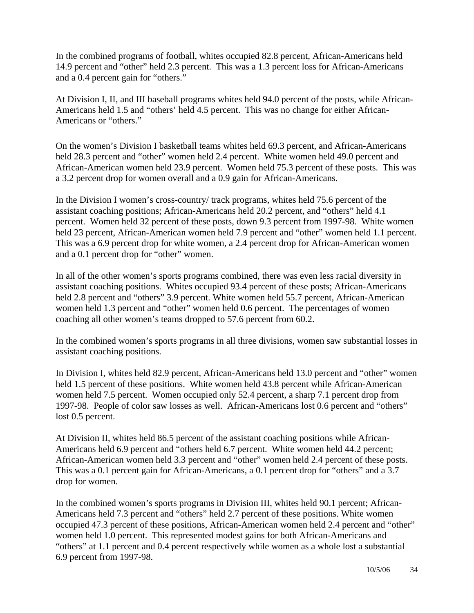In the combined programs of football, whites occupied 82.8 percent, African-Americans held 14.9 percent and "other" held 2.3 percent. This was a 1.3 percent loss for African-Americans and a 0.4 percent gain for "others."

At Division I, II, and III baseball programs whites held 94.0 percent of the posts, while African-Americans held 1.5 and "others' held 4.5 percent. This was no change for either African-Americans or "others."

On the women's Division I basketball teams whites held 69.3 percent, and African-Americans held 28.3 percent and "other" women held 2.4 percent. White women held 49.0 percent and African-American women held 23.9 percent. Women held 75.3 percent of these posts. This was a 3.2 percent drop for women overall and a 0.9 gain for African-Americans.

In the Division I women's cross-country/ track programs, whites held 75.6 percent of the assistant coaching positions; African-Americans held 20.2 percent, and "others" held 4.1 percent. Women held 32 percent of these posts, down 9.3 percent from 1997-98. White women held 23 percent, African-American women held 7.9 percent and "other" women held 1.1 percent. This was a 6.9 percent drop for white women, a 2.4 percent drop for African-American women and a 0.1 percent drop for "other" women.

In all of the other women's sports programs combined, there was even less racial diversity in assistant coaching positions. Whites occupied 93.4 percent of these posts; African-Americans held 2.8 percent and "others" 3.9 percent. White women held 55.7 percent, African-American women held 1.3 percent and "other" women held 0.6 percent. The percentages of women coaching all other women's teams dropped to 57.6 percent from 60.2.

In the combined women's sports programs in all three divisions, women saw substantial losses in assistant coaching positions.

In Division I, whites held 82.9 percent, African-Americans held 13.0 percent and "other" women held 1.5 percent of these positions. White women held 43.8 percent while African-American women held 7.5 percent. Women occupied only 52.4 percent, a sharp 7.1 percent drop from 1997-98. People of color saw losses as well. African-Americans lost 0.6 percent and "others" lost 0.5 percent.

At Division II, whites held 86.5 percent of the assistant coaching positions while African-Americans held 6.9 percent and "others held 6.7 percent. White women held 44.2 percent; African-American women held 3.3 percent and "other" women held 2.4 percent of these posts. This was a 0.1 percent gain for African-Americans, a 0.1 percent drop for "others" and a 3.7 drop for women.

In the combined women's sports programs in Division III, whites held 90.1 percent; African-Americans held 7.3 percent and "others" held 2.7 percent of these positions. White women occupied 47.3 percent of these positions, African-American women held 2.4 percent and "other" women held 1.0 percent. This represented modest gains for both African-Americans and "others" at 1.1 percent and 0.4 percent respectively while women as a whole lost a substantial 6.9 percent from 1997-98.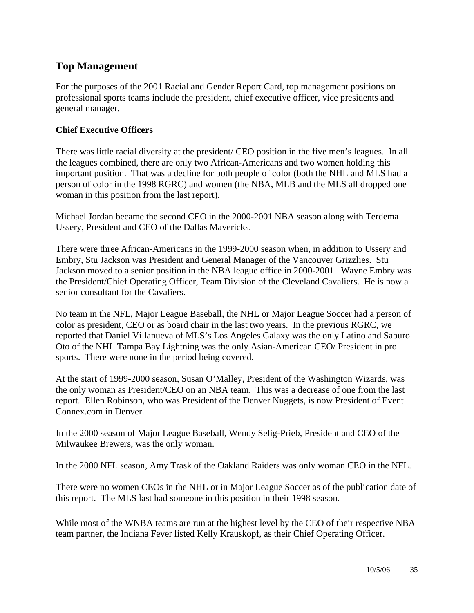### **Top Management**

For the purposes of the 2001 Racial and Gender Report Card, top management positions on professional sports teams include the president, chief executive officer, vice presidents and general manager.

#### **Chief Executive Officers**

There was little racial diversity at the president/ CEO position in the five men's leagues. In all the leagues combined, there are only two African-Americans and two women holding this important position. That was a decline for both people of color (both the NHL and MLS had a person of color in the 1998 RGRC) and women (the NBA, MLB and the MLS all dropped one woman in this position from the last report).

Michael Jordan became the second CEO in the 2000-2001 NBA season along with Terdema Ussery, President and CEO of the Dallas Mavericks.

There were three African-Americans in the 1999-2000 season when, in addition to Ussery and Embry, Stu Jackson was President and General Manager of the Vancouver Grizzlies. Stu Jackson moved to a senior position in the NBA league office in 2000-2001. Wayne Embry was the President/Chief Operating Officer, Team Division of the Cleveland Cavaliers. He is now a senior consultant for the Cavaliers.

No team in the NFL, Major League Baseball, the NHL or Major League Soccer had a person of color as president, CEO or as board chair in the last two years. In the previous RGRC, we reported that Daniel Villanueva of MLS's Los Angeles Galaxy was the only Latino and Saburo Oto of the NHL Tampa Bay Lightning was the only Asian-American CEO/ President in pro sports. There were none in the period being covered.

At the start of 1999-2000 season, Susan O'Malley, President of the Washington Wizards, was the only woman as President/CEO on an NBA team. This was a decrease of one from the last report. Ellen Robinson, who was President of the Denver Nuggets, is now President of Event Connex.com in Denver.

In the 2000 season of Major League Baseball, Wendy Selig-Prieb, President and CEO of the Milwaukee Brewers, was the only woman.

In the 2000 NFL season, Amy Trask of the Oakland Raiders was only woman CEO in the NFL.

There were no women CEOs in the NHL or in Major League Soccer as of the publication date of this report. The MLS last had someone in this position in their 1998 season.

While most of the WNBA teams are run at the highest level by the CEO of their respective NBA team partner, the Indiana Fever listed Kelly Krauskopf, as their Chief Operating Officer.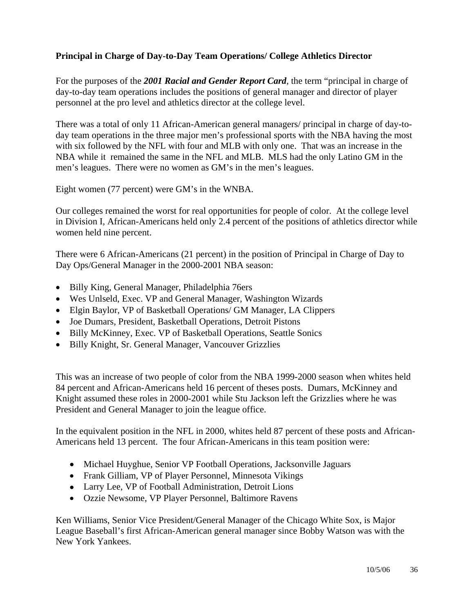#### **Principal in Charge of Day-to-Day Team Operations/ College Athletics Director**

For the purposes of the *2001 Racial and Gender Report Card*, the term "principal in charge of day-to-day team operations includes the positions of general manager and director of player personnel at the pro level and athletics director at the college level.

There was a total of only 11 African-American general managers/ principal in charge of day-today team operations in the three major men's professional sports with the NBA having the most with six followed by the NFL with four and MLB with only one. That was an increase in the NBA while it remained the same in the NFL and MLB. MLS had the only Latino GM in the men's leagues. There were no women as GM's in the men's leagues.

Eight women (77 percent) were GM's in the WNBA.

Our colleges remained the worst for real opportunities for people of color. At the college level in Division I, African-Americans held only 2.4 percent of the positions of athletics director while women held nine percent.

There were 6 African-Americans (21 percent) in the position of Principal in Charge of Day to Day Ops/General Manager in the 2000-2001 NBA season:

- Billy King, General Manager, Philadelphia 76ers
- Wes Unlseld, Exec. VP and General Manager, Washington Wizards
- Elgin Baylor, VP of Basketball Operations/ GM Manager, LA Clippers
- Joe Dumars, President, Basketball Operations, Detroit Pistons
- Billy McKinney, Exec. VP of Basketball Operations, Seattle Sonics
- Billy Knight, Sr. General Manager, Vancouver Grizzlies

This was an increase of two people of color from the NBA 1999-2000 season when whites held 84 percent and African-Americans held 16 percent of theses posts. Dumars, McKinney and Knight assumed these roles in 2000-2001 while Stu Jackson left the Grizzlies where he was President and General Manager to join the league office.

In the equivalent position in the NFL in 2000, whites held 87 percent of these posts and African-Americans held 13 percent. The four African-Americans in this team position were:

- Michael Huyghue, Senior VP Football Operations, Jacksonville Jaguars
- Frank Gilliam, VP of Player Personnel, Minnesota Vikings
- Larry Lee, VP of Football Administration, Detroit Lions
- Ozzie Newsome, VP Player Personnel, Baltimore Ravens

Ken Williams, Senior Vice President/General Manager of the Chicago White Sox, is Major League Baseball's first African-American general manager since Bobby Watson was with the New York Yankees.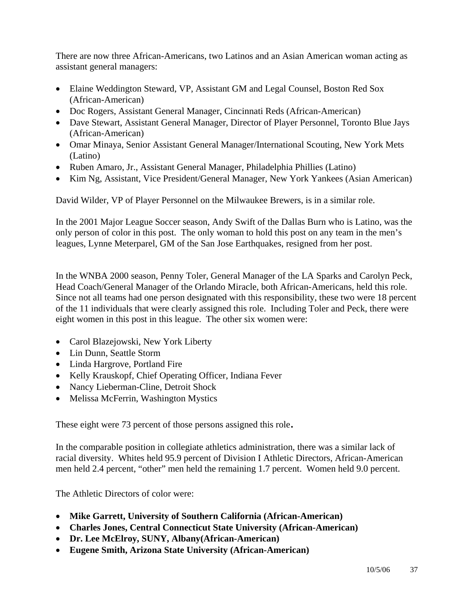There are now three African-Americans, two Latinos and an Asian American woman acting as assistant general managers:

- Elaine Weddington Steward, VP, Assistant GM and Legal Counsel, Boston Red Sox (African-American)
- Doc Rogers, Assistant General Manager, Cincinnati Reds (African-American)
- Dave Stewart, Assistant General Manager, Director of Player Personnel, Toronto Blue Jays (African-American)
- Omar Minaya, Senior Assistant General Manager/International Scouting, New York Mets (Latino)
- Ruben Amaro, Jr., Assistant General Manager, Philadelphia Phillies (Latino)
- Kim Ng, Assistant, Vice President/General Manager, New York Yankees (Asian American)

David Wilder, VP of Player Personnel on the Milwaukee Brewers, is in a similar role.

In the 2001 Major League Soccer season, Andy Swift of the Dallas Burn who is Latino, was the only person of color in this post. The only woman to hold this post on any team in the men's leagues, Lynne Meterparel, GM of the San Jose Earthquakes, resigned from her post.

In the WNBA 2000 season, Penny Toler, General Manager of the LA Sparks and Carolyn Peck, Head Coach/General Manager of the Orlando Miracle, both African-Americans, held this role. Since not all teams had one person designated with this responsibility, these two were 18 percent of the 11 individuals that were clearly assigned this role. Including Toler and Peck, there were eight women in this post in this league. The other six women were:

- Carol Blazejowski, New York Liberty
- Lin Dunn, Seattle Storm
- Linda Hargrove, Portland Fire
- Kelly Krauskopf, Chief Operating Officer, Indiana Fever
- Nancy Lieberman-Cline, Detroit Shock
- Melissa McFerrin, Washington Mystics

These eight were 73 percent of those persons assigned this role.

In the comparable position in collegiate athletics administration, there was a similar lack of racial diversity. Whites held 95.9 percent of Division I Athletic Directors, African-American men held 2.4 percent, "other" men held the remaining 1.7 percent. Women held 9.0 percent.

The Athletic Directors of color were:

- **Mike Garrett, University of Southern California (African-American)**
- **Charles Jones, Central Connecticut State University (African-American)**
- **Dr. Lee McElroy, SUNY, Albany(African-American)**
- **Eugene Smith, Arizona State University (African-American)**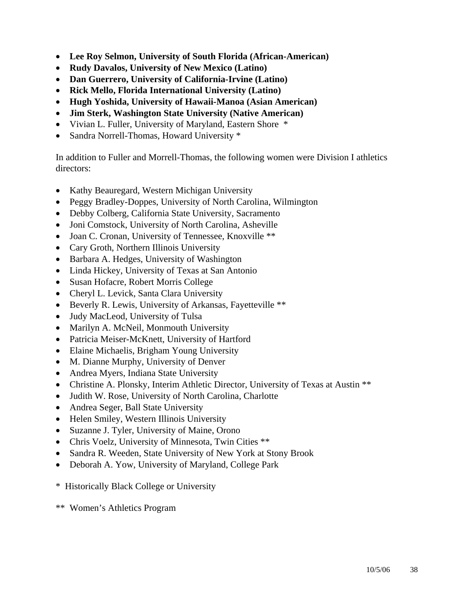- **Lee Roy Selmon, University of South Florida (African-American)**
- **Rudy Davalos, University of New Mexico (Latino)**
- **Dan Guerrero, University of California-Irvine (Latino)**
- **Rick Mello, Florida International University (Latino)**
- **Hugh Yoshida, University of Hawaii-Manoa (Asian American)**
- **Jim Sterk, Washington State University (Native American)**
- Vivian L. Fuller, University of Maryland, Eastern Shore \*
- Sandra Norrell-Thomas, Howard University \*

In addition to Fuller and Morrell-Thomas, the following women were Division I athletics directors:

- Kathy Beauregard, Western Michigan University
- Peggy Bradley-Doppes, University of North Carolina, Wilmington
- Debby Colberg, California State University, Sacramento
- Joni Comstock, University of North Carolina, Asheville
- Joan C. Cronan, University of Tennessee, Knoxville \*\*
- Cary Groth, Northern Illinois University
- Barbara A. Hedges, University of Washington
- Linda Hickey, University of Texas at San Antonio
- Susan Hofacre, Robert Morris College
- Cheryl L. Levick, Santa Clara University
- Beverly R. Lewis, University of Arkansas, Fayetteville \*\*
- Judy MacLeod, University of Tulsa
- Marilyn A. McNeil, Monmouth University
- Patricia Meiser-McKnett, University of Hartford
- Elaine Michaelis, Brigham Young University
- M. Dianne Murphy, University of Denver
- Andrea Myers, Indiana State University
- Christine A. Plonsky, Interim Athletic Director, University of Texas at Austin \*\*
- Judith W. Rose, University of North Carolina, Charlotte
- Andrea Seger, Ball State University
- Helen Smiley, Western Illinois University
- Suzanne J. Tyler, University of Maine, Orono
- Chris Voelz, University of Minnesota, Twin Cities \*\*
- Sandra R. Weeden, State University of New York at Stony Brook
- Deborah A. Yow, University of Maryland, College Park
- \* Historically Black College or University
- \*\* Women's Athletics Program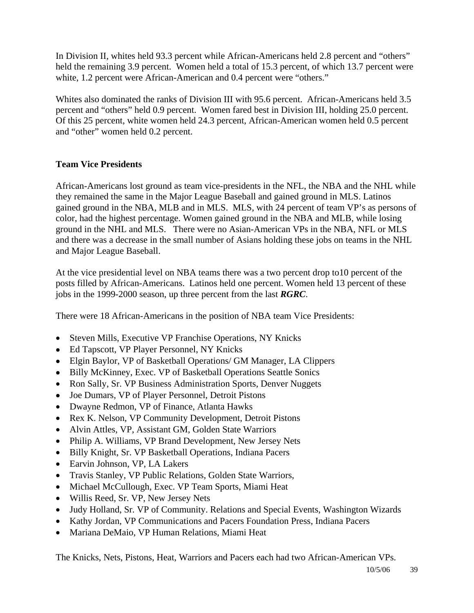In Division II, whites held 93.3 percent while African-Americans held 2.8 percent and "others" held the remaining 3.9 percent. Women held a total of 15.3 percent, of which 13.7 percent were white, 1.2 percent were African-American and 0.4 percent were "others."

Whites also dominated the ranks of Division III with 95.6 percent. African-Americans held 3.5 percent and "others" held 0.9 percent. Women fared best in Division III, holding 25.0 percent. Of this 25 percent, white women held 24.3 percent, African-American women held 0.5 percent and "other" women held 0.2 percent.

#### **Team Vice Presidents**

African-Americans lost ground as team vice-presidents in the NFL, the NBA and the NHL while they remained the same in the Major League Baseball and gained ground in MLS. Latinos gained ground in the NBA, MLB and in MLS. MLS, with 24 percent of team VP's as persons of color, had the highest percentage. Women gained ground in the NBA and MLB, while losing ground in the NHL and MLS. There were no Asian-American VPs in the NBA, NFL or MLS and there was a decrease in the small number of Asians holding these jobs on teams in the NHL and Major League Baseball.

At the vice presidential level on NBA teams there was a two percent drop to10 percent of the posts filled by African-Americans. Latinos held one percent. Women held 13 percent of these jobs in the 1999-2000 season, up three percent from the last *RGRC*.

There were 18 African-Americans in the position of NBA team Vice Presidents:

- Steven Mills, Executive VP Franchise Operations, NY Knicks
- Ed Tapscott, VP Player Personnel, NY Knicks
- Elgin Baylor, VP of Basketball Operations/ GM Manager, LA Clippers
- Billy McKinney, Exec. VP of Basketball Operations Seattle Sonics
- Ron Sally, Sr. VP Business Administration Sports, Denver Nuggets
- Joe Dumars, VP of Player Personnel, Detroit Pistons
- Dwayne Redmon, VP of Finance, Atlanta Hawks
- Rex K. Nelson, VP Community Development, Detroit Pistons
- Alvin Attles, VP, Assistant GM, Golden State Warriors
- Philip A. Williams, VP Brand Development, New Jersey Nets
- Billy Knight, Sr. VP Basketball Operations, Indiana Pacers
- Earvin Johnson, VP, LA Lakers
- Travis Stanley, VP Public Relations, Golden State Warriors,
- Michael McCullough, Exec. VP Team Sports, Miami Heat
- Willis Reed, Sr. VP, New Jersey Nets
- Judy Holland, Sr. VP of Community. Relations and Special Events, Washington Wizards
- Kathy Jordan, VP Communications and Pacers Foundation Press, Indiana Pacers
- Mariana DeMaio, VP Human Relations, Miami Heat

The Knicks, Nets, Pistons, Heat, Warriors and Pacers each had two African-American VPs.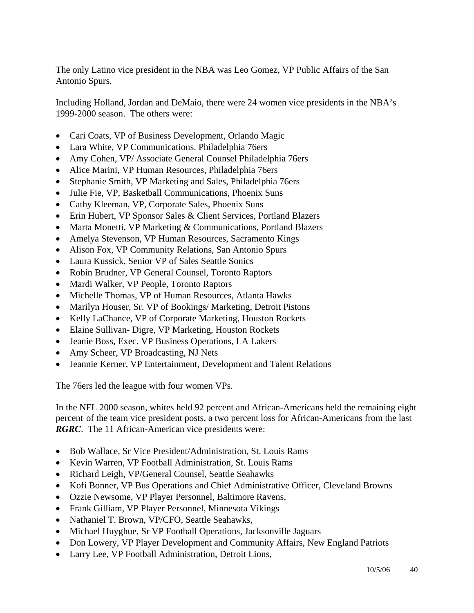The only Latino vice president in the NBA was Leo Gomez, VP Public Affairs of the San Antonio Spurs.

Including Holland, Jordan and DeMaio, there were 24 women vice presidents in the NBA's 1999-2000 season. The others were:

- Cari Coats, VP of Business Development, Orlando Magic
- Lara White, VP Communications. Philadelphia 76ers
- Amy Cohen, VP/ Associate General Counsel Philadelphia 76ers
- Alice Marini, VP Human Resources, Philadelphia 76ers
- Stephanie Smith, VP Marketing and Sales, Philadelphia 76ers
- Julie Fie, VP, Basketball Communications, Phoenix Suns
- Cathy Kleeman, VP, Corporate Sales, Phoenix Suns
- Erin Hubert, VP Sponsor Sales & Client Services, Portland Blazers
- Marta Monetti, VP Marketing & Communications, Portland Blazers
- Amelya Stevenson, VP Human Resources, Sacramento Kings
- Alison Fox, VP Community Relations, San Antonio Spurs
- Laura Kussick, Senior VP of Sales Seattle Sonics
- Robin Brudner, VP General Counsel, Toronto Raptors
- Mardi Walker, VP People, Toronto Raptors
- Michelle Thomas, VP of Human Resources, Atlanta Hawks
- Marilyn Houser, Sr. VP of Bookings/ Marketing, Detroit Pistons
- Kelly LaChance, VP of Corporate Marketing, Houston Rockets
- Elaine Sullivan- Digre, VP Marketing, Houston Rockets
- Jeanie Boss, Exec. VP Business Operations, LA Lakers
- Amy Scheer, VP Broadcasting, NJ Nets
- Jeannie Kerner, VP Entertainment, Development and Talent Relations

The 76ers led the league with four women VPs.

In the NFL 2000 season, whites held 92 percent and African-Americans held the remaining eight percent of the team vice president posts, a two percent loss for African-Americans from the last *RGRC*. The 11 African-American vice presidents were:

- Bob Wallace, Sr Vice President/Administration, St. Louis Rams
- Kevin Warren, VP Football Administration, St. Louis Rams
- Richard Leigh, VP/General Counsel, Seattle Seahawks
- Kofi Bonner, VP Bus Operations and Chief Administrative Officer, Cleveland Browns
- Ozzie Newsome, VP Player Personnel, Baltimore Ravens,
- Frank Gilliam, VP Player Personnel, Minnesota Vikings
- Nathaniel T. Brown, VP/CFO, Seattle Seahawks,
- Michael Huyghue, Sr VP Football Operations, Jacksonville Jaguars
- Don Lowery, VP Player Development and Community Affairs, New England Patriots
- Larry Lee, VP Football Administration, Detroit Lions,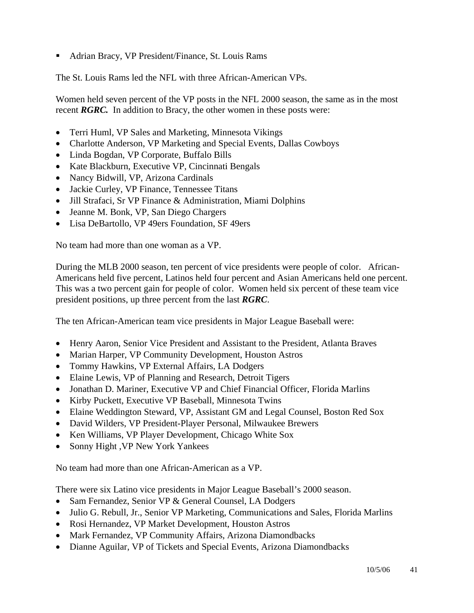■ Adrian Bracy, VP President/Finance, St. Louis Rams

The St. Louis Rams led the NFL with three African-American VPs.

Women held seven percent of the VP posts in the NFL 2000 season, the same as in the most recent *RGRC*. In addition to Bracy, the other women in these posts were:

- Terri Huml, VP Sales and Marketing, Minnesota Vikings
- Charlotte Anderson, VP Marketing and Special Events, Dallas Cowboys
- Linda Bogdan, VP Corporate, Buffalo Bills
- Kate Blackburn, Executive VP, Cincinnati Bengals
- Nancy Bidwill, VP, Arizona Cardinals
- Jackie Curley, VP Finance, Tennessee Titans
- Jill Strafaci, Sr VP Finance & Administration, Miami Dolphins
- Jeanne M. Bonk, VP, San Diego Chargers
- Lisa DeBartollo, VP 49ers Foundation, SF 49ers

No team had more than one woman as a VP.

During the MLB 2000 season, ten percent of vice presidents were people of color. African-Americans held five percent, Latinos held four percent and Asian Americans held one percent. This was a two percent gain for people of color. Women held six percent of these team vice president positions, up three percent from the last *RGRC*.

The ten African-American team vice presidents in Major League Baseball were:

- Henry Aaron, Senior Vice President and Assistant to the President, Atlanta Braves
- Marian Harper, VP Community Development, Houston Astros
- Tommy Hawkins, VP External Affairs, LA Dodgers
- Elaine Lewis, VP of Planning and Research, Detroit Tigers
- Jonathan D. Mariner, Executive VP and Chief Financial Officer, Florida Marlins
- Kirby Puckett, Executive VP Baseball, Minnesota Twins
- Elaine Weddington Steward, VP, Assistant GM and Legal Counsel, Boston Red Sox
- David Wilders, VP President-Player Personal, Milwaukee Brewers
- Ken Williams, VP Player Development, Chicago White Sox
- Sonny Hight , VP New York Yankees

No team had more than one African-American as a VP.

There were six Latino vice presidents in Major League Baseball's 2000 season.

- Sam Fernandez, Senior VP & General Counsel, LA Dodgers
- Julio G. Rebull, Jr., Senior VP Marketing, Communications and Sales, Florida Marlins
- Rosi Hernandez, VP Market Development, Houston Astros
- Mark Fernandez, VP Community Affairs, Arizona Diamondbacks
- Dianne Aguilar, VP of Tickets and Special Events, Arizona Diamondbacks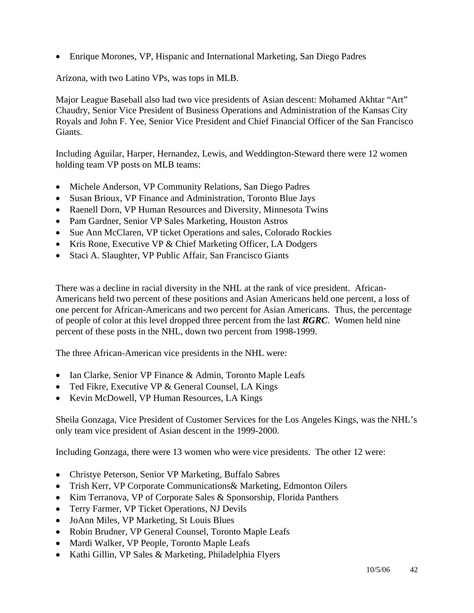• Enrique Morones, VP, Hispanic and International Marketing, San Diego Padres

Arizona, with two Latino VPs, was tops in MLB.

Major League Baseball also had two vice presidents of Asian descent: Mohamed Akhtar "Art" Chaudry, Senior Vice President of Business Operations and Administration of the Kansas City Royals and John F. Yee, Senior Vice President and Chief Financial Officer of the San Francisco Giants.

Including Aguilar, Harper, Hernandez, Lewis, and Weddington-Steward there were 12 women holding team VP posts on MLB teams:

- Michele Anderson, VP Community Relations, San Diego Padres
- Susan Brioux, VP Finance and Administration, Toronto Blue Jays
- Raenell Dorn, VP Human Resources and Diversity, Minnesota Twins
- Pam Gardner, Senior VP Sales Marketing, Houston Astros
- Sue Ann McClaren, VP ticket Operations and sales, Colorado Rockies
- Kris Rone, Executive VP & Chief Marketing Officer, LA Dodgers
- Staci A. Slaughter, VP Public Affair, San Francisco Giants

There was a decline in racial diversity in the NHL at the rank of vice president. African-Americans held two percent of these positions and Asian Americans held one percent, a loss of one percent for African-Americans and two percent for Asian Americans. Thus, the percentage of people of color at this level dropped three percent from the last *RGRC*. Women held nine percent of these posts in the NHL, down two percent from 1998-1999.

The three African-American vice presidents in the NHL were:

- Ian Clarke, Senior VP Finance & Admin, Toronto Maple Leafs
- Ted Fikre, Executive VP & General Counsel, LA Kings
- Kevin McDowell, VP Human Resources, LA Kings

Sheila Gonzaga, Vice President of Customer Services for the Los Angeles Kings, was the NHL's only team vice president of Asian descent in the 1999-2000.

Including Gonzaga, there were 13 women who were vice presidents. The other 12 were:

- Christye Peterson, Senior VP Marketing, Buffalo Sabres
- Trish Kerr, VP Corporate Communications & Marketing, Edmonton Oilers
- Kim Terranova, VP of Corporate Sales & Sponsorship, Florida Panthers
- Terry Farmer, VP Ticket Operations, NJ Devils
- JoAnn Miles, VP Marketing, St Louis Blues
- Robin Brudner, VP General Counsel, Toronto Maple Leafs
- Mardi Walker, VP People, Toronto Maple Leafs
- Kathi Gillin, VP Sales & Marketing, Philadelphia Flyers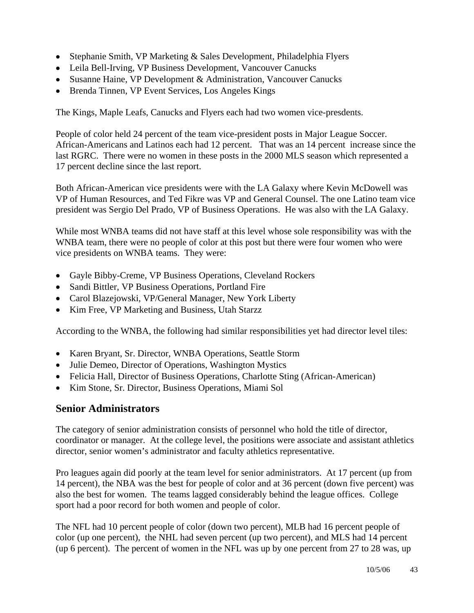- Stephanie Smith, VP Marketing & Sales Development, Philadelphia Flyers
- Leila Bell-Irving, VP Business Development, Vancouver Canucks
- Susanne Haine, VP Development & Administration, Vancouver Canucks
- Brenda Tinnen, VP Event Services, Los Angeles Kings

The Kings, Maple Leafs, Canucks and Flyers each had two women vice-presdents.

People of color held 24 percent of the team vice-president posts in Major League Soccer. African-Americans and Latinos each had 12 percent. That was an 14 percent increase since the last RGRC. There were no women in these posts in the 2000 MLS season which represented a 17 percent decline since the last report.

Both African-American vice presidents were with the LA Galaxy where Kevin McDowell was VP of Human Resources, and Ted Fikre was VP and General Counsel. The one Latino team vice president was Sergio Del Prado, VP of Business Operations. He was also with the LA Galaxy.

While most WNBA teams did not have staff at this level whose sole responsibility was with the WNBA team, there were no people of color at this post but there were four women who were vice presidents on WNBA teams. They were:

- Gayle Bibby-Creme, VP Business Operations, Cleveland Rockers
- Sandi Bittler, VP Business Operations, Portland Fire
- Carol Blazejowski, VP/General Manager, New York Liberty
- Kim Free, VP Marketing and Business, Utah Starzz

According to the WNBA, the following had similar responsibilities yet had director level tiles:

- Karen Bryant, Sr. Director, WNBA Operations, Seattle Storm
- Julie Demeo, Director of Operations, Washington Mystics
- Felicia Hall, Director of Business Operations, Charlotte Sting (African-American)
- Kim Stone, Sr. Director, Business Operations, Miami Sol

#### **Senior Administrators**

The category of senior administration consists of personnel who hold the title of director, coordinator or manager. At the college level, the positions were associate and assistant athletics director, senior women's administrator and faculty athletics representative.

Pro leagues again did poorly at the team level for senior administrators. At 17 percent (up from 14 percent), the NBA was the best for people of color and at 36 percent (down five percent) was also the best for women. The teams lagged considerably behind the league offices. College sport had a poor record for both women and people of color.

The NFL had 10 percent people of color (down two percent), MLB had 16 percent people of color (up one percent), the NHL had seven percent (up two percent), and MLS had 14 percent (up 6 percent). The percent of women in the NFL was up by one percent from 27 to 28 was, up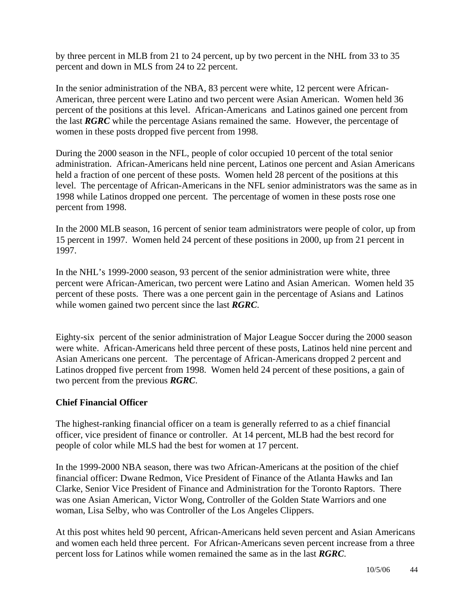by three percent in MLB from 21 to 24 percent, up by two percent in the NHL from 33 to 35 percent and down in MLS from 24 to 22 percent.

In the senior administration of the NBA, 83 percent were white, 12 percent were African-American, three percent were Latino and two percent were Asian American. Women held 36 percent of the positions at this level. African-Americans and Latinos gained one percent from the last *RGRC* while the percentage Asians remained the same. However, the percentage of women in these posts dropped five percent from 1998.

During the 2000 season in the NFL, people of color occupied 10 percent of the total senior administration. African-Americans held nine percent, Latinos one percent and Asian Americans held a fraction of one percent of these posts. Women held 28 percent of the positions at this level. The percentage of African-Americans in the NFL senior administrators was the same as in 1998 while Latinos dropped one percent. The percentage of women in these posts rose one percent from 1998.

In the 2000 MLB season, 16 percent of senior team administrators were people of color, up from 15 percent in 1997. Women held 24 percent of these positions in 2000, up from 21 percent in 1997.

In the NHL's 1999-2000 season, 93 percent of the senior administration were white, three percent were African-American, two percent were Latino and Asian American. Women held 35 percent of these posts. There was a one percent gain in the percentage of Asians and Latinos while women gained two percent since the last *RGRC*.

Eighty-six percent of the senior administration of Major League Soccer during the 2000 season were white. African-Americans held three percent of these posts, Latinos held nine percent and Asian Americans one percent. The percentage of African-Americans dropped 2 percent and Latinos dropped five percent from 1998. Women held 24 percent of these positions, a gain of two percent from the previous *RGRC*.

#### **Chief Financial Officer**

The highest-ranking financial officer on a team is generally referred to as a chief financial officer, vice president of finance or controller. At 14 percent, MLB had the best record for people of color while MLS had the best for women at 17 percent.

In the 1999-2000 NBA season, there was two African-Americans at the position of the chief financial officer: Dwane Redmon, Vice President of Finance of the Atlanta Hawks and Ian Clarke, Senior Vice President of Finance and Administration for the Toronto Raptors. There was one Asian American, Victor Wong, Controller of the Golden State Warriors and one woman, Lisa Selby, who was Controller of the Los Angeles Clippers.

At this post whites held 90 percent, African-Americans held seven percent and Asian Americans and women each held three percent. For African-Americans seven percent increase from a three percent loss for Latinos while women remained the same as in the last *RGRC*.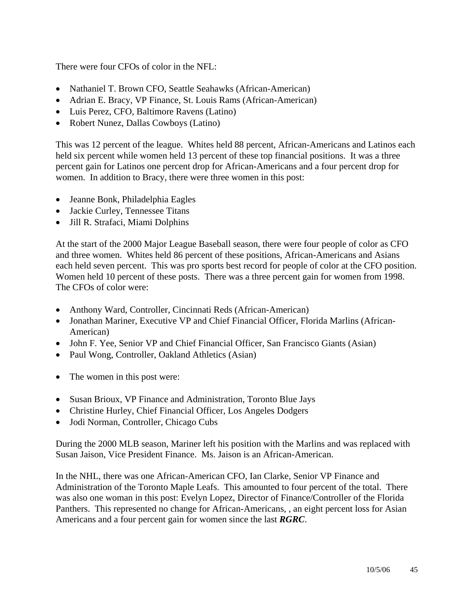There were four CFOs of color in the NFL:

- Nathaniel T. Brown CFO, Seattle Seahawks (African-American)
- Adrian E. Bracy, VP Finance, St. Louis Rams (African-American)
- Luis Perez, CFO, Baltimore Ravens (Latino)
- Robert Nunez, Dallas Cowboys (Latino)

This was 12 percent of the league. Whites held 88 percent, African-Americans and Latinos each held six percent while women held 13 percent of these top financial positions. It was a three percent gain for Latinos one percent drop for African-Americans and a four percent drop for women. In addition to Bracy, there were three women in this post:

- Jeanne Bonk, Philadelphia Eagles
- Jackie Curley, Tennessee Titans
- Jill R. Strafaci, Miami Dolphins

At the start of the 2000 Major League Baseball season, there were four people of color as CFO and three women. Whites held 86 percent of these positions, African-Americans and Asians each held seven percent. This was pro sports best record for people of color at the CFO position. Women held 10 percent of these posts. There was a three percent gain for women from 1998. The CFOs of color were:

- Anthony Ward, Controller, Cincinnati Reds (African-American)
- Jonathan Mariner, Executive VP and Chief Financial Officer, Florida Marlins (African-American)
- John F. Yee, Senior VP and Chief Financial Officer, San Francisco Giants (Asian)
- Paul Wong, Controller, Oakland Athletics (Asian)
- The women in this post were:
- Susan Brioux, VP Finance and Administration, Toronto Blue Jays
- Christine Hurley, Chief Financial Officer, Los Angeles Dodgers
- Jodi Norman, Controller, Chicago Cubs

During the 2000 MLB season, Mariner left his position with the Marlins and was replaced with Susan Jaison, Vice President Finance. Ms. Jaison is an African-American.

In the NHL, there was one African-American CFO, Ian Clarke, Senior VP Finance and Administration of the Toronto Maple Leafs. This amounted to four percent of the total. There was also one woman in this post: Evelyn Lopez, Director of Finance/Controller of the Florida Panthers. This represented no change for African-Americans, , an eight percent loss for Asian Americans and a four percent gain for women since the last *RGRC*.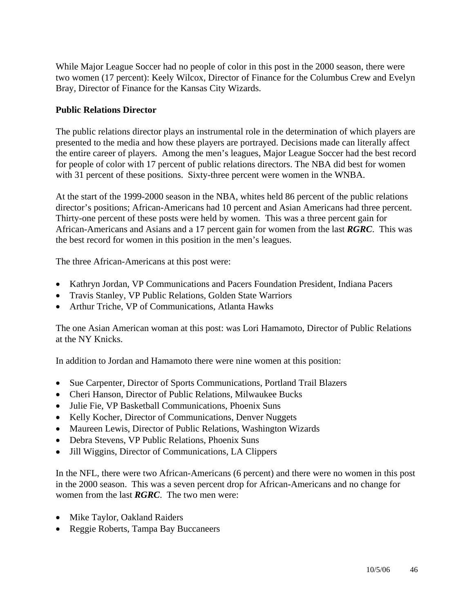While Major League Soccer had no people of color in this post in the 2000 season, there were two women (17 percent): Keely Wilcox, Director of Finance for the Columbus Crew and Evelyn Bray, Director of Finance for the Kansas City Wizards.

#### **Public Relations Director**

The public relations director plays an instrumental role in the determination of which players are presented to the media and how these players are portrayed. Decisions made can literally affect the entire career of players. Among the men's leagues, Major League Soccer had the best record for people of color with 17 percent of public relations directors. The NBA did best for women with 31 percent of these positions. Sixty-three percent were women in the WNBA.

At the start of the 1999-2000 season in the NBA, whites held 86 percent of the public relations director's positions; African-Americans had 10 percent and Asian Americans had three percent. Thirty-one percent of these posts were held by women. This was a three percent gain for African-Americans and Asians and a 17 percent gain for women from the last *RGRC*. This was the best record for women in this position in the men's leagues.

The three African-Americans at this post were:

- Kathryn Jordan, VP Communications and Pacers Foundation President, Indiana Pacers
- Travis Stanley, VP Public Relations, Golden State Warriors
- Arthur Triche, VP of Communications, Atlanta Hawks

The one Asian American woman at this post: was Lori Hamamoto, Director of Public Relations at the NY Knicks.

In addition to Jordan and Hamamoto there were nine women at this position:

- Sue Carpenter, Director of Sports Communications, Portland Trail Blazers
- Cheri Hanson, Director of Public Relations, Milwaukee Bucks
- Julie Fie, VP Basketball Communications, Phoenix Suns
- Kelly Kocher, Director of Communications, Denver Nuggets
- Maureen Lewis, Director of Public Relations, Washington Wizards
- Debra Stevens, VP Public Relations, Phoenix Suns
- Jill Wiggins, Director of Communications, LA Clippers

In the NFL, there were two African-Americans (6 percent) and there were no women in this post in the 2000 season. This was a seven percent drop for African-Americans and no change for women from the last *RGRC*. The two men were:

- Mike Taylor, Oakland Raiders
- Reggie Roberts, Tampa Bay Buccaneers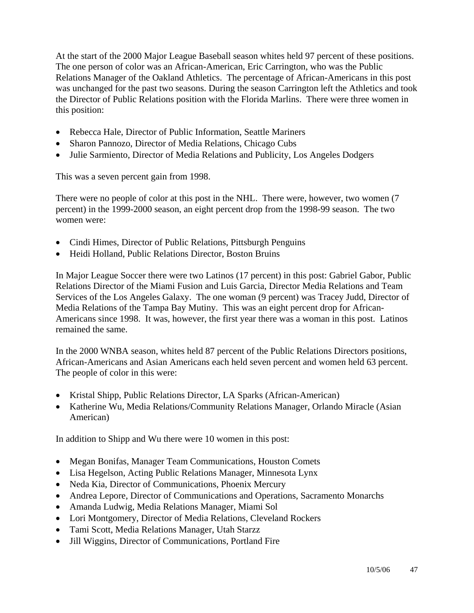At the start of the 2000 Major League Baseball season whites held 97 percent of these positions. The one person of color was an African-American, Eric Carrington, who was the Public Relations Manager of the Oakland Athletics. The percentage of African-Americans in this post was unchanged for the past two seasons. During the season Carrington left the Athletics and took the Director of Public Relations position with the Florida Marlins. There were three women in this position:

- Rebecca Hale, Director of Public Information, Seattle Mariners
- Sharon Pannozo, Director of Media Relations, Chicago Cubs
- Julie Sarmiento, Director of Media Relations and Publicity, Los Angeles Dodgers

This was a seven percent gain from 1998.

There were no people of color at this post in the NHL. There were, however, two women (7 percent) in the 1999-2000 season, an eight percent drop from the 1998-99 season. The two women were:

- Cindi Himes, Director of Public Relations, Pittsburgh Penguins
- Heidi Holland, Public Relations Director, Boston Bruins

In Major League Soccer there were two Latinos (17 percent) in this post: Gabriel Gabor, Public Relations Director of the Miami Fusion and Luis Garcia, Director Media Relations and Team Services of the Los Angeles Galaxy. The one woman (9 percent) was Tracey Judd, Director of Media Relations of the Tampa Bay Mutiny. This was an eight percent drop for African-Americans since 1998. It was, however, the first year there was a woman in this post. Latinos remained the same.

In the 2000 WNBA season, whites held 87 percent of the Public Relations Directors positions, African-Americans and Asian Americans each held seven percent and women held 63 percent. The people of color in this were:

- Kristal Shipp, Public Relations Director, LA Sparks (African-American)
- Katherine Wu, Media Relations/Community Relations Manager, Orlando Miracle (Asian American)

In addition to Shipp and Wu there were 10 women in this post:

- Megan Bonifas, Manager Team Communications, Houston Comets
- Lisa Hegelson, Acting Public Relations Manager, Minnesota Lynx
- Neda Kia, Director of Communications, Phoenix Mercury
- Andrea Lepore, Director of Communications and Operations, Sacramento Monarchs
- Amanda Ludwig, Media Relations Manager, Miami Sol
- Lori Montgomery, Director of Media Relations, Cleveland Rockers
- Tami Scott, Media Relations Manager, Utah Starzz
- Jill Wiggins, Director of Communications, Portland Fire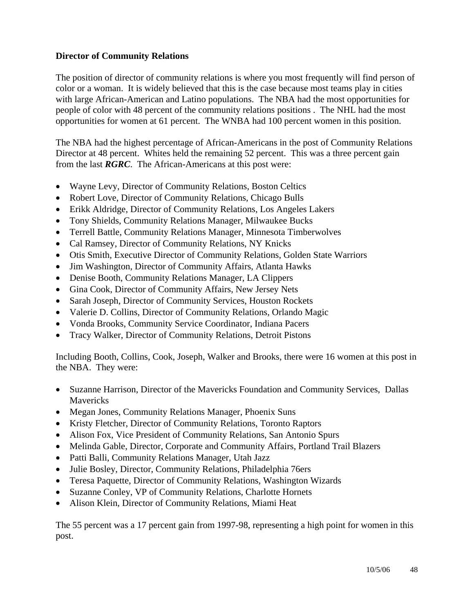#### **Director of Community Relations**

The position of director of community relations is where you most frequently will find person of color or a woman. It is widely believed that this is the case because most teams play in cities with large African-American and Latino populations. The NBA had the most opportunities for people of color with 48 percent of the community relations positions . The NHL had the most opportunities for women at 61 percent. The WNBA had 100 percent women in this position.

The NBA had the highest percentage of African-Americans in the post of Community Relations Director at 48 percent. Whites held the remaining 52 percent. This was a three percent gain from the last *RGRC*. The African-Americans at this post were:

- Wayne Levy, Director of Community Relations, Boston Celtics
- Robert Love, Director of Community Relations, Chicago Bulls
- Erikk Aldridge, Director of Community Relations, Los Angeles Lakers
- Tony Shields, Community Relations Manager, Milwaukee Bucks
- Terrell Battle, Community Relations Manager, Minnesota Timberwolves
- Cal Ramsey, Director of Community Relations, NY Knicks
- Otis Smith, Executive Director of Community Relations, Golden State Warriors
- Jim Washington, Director of Community Affairs, Atlanta Hawks
- Denise Booth, Community Relations Manager, LA Clippers
- Gina Cook, Director of Community Affairs, New Jersey Nets
- Sarah Joseph, Director of Community Services, Houston Rockets
- Valerie D. Collins, Director of Community Relations, Orlando Magic
- Vonda Brooks, Community Service Coordinator, Indiana Pacers
- Tracy Walker, Director of Community Relations, Detroit Pistons

Including Booth, Collins, Cook, Joseph, Walker and Brooks, there were 16 women at this post in the NBA. They were:

- Suzanne Harrison, Director of the Mavericks Foundation and Community Services, Dallas Mavericks
- Megan Jones, Community Relations Manager, Phoenix Suns
- Kristy Fletcher, Director of Community Relations, Toronto Raptors
- Alison Fox, Vice President of Community Relations, San Antonio Spurs
- Melinda Gable, Director, Corporate and Community Affairs, Portland Trail Blazers
- Patti Balli, Community Relations Manager, Utah Jazz
- Julie Bosley, Director, Community Relations, Philadelphia 76ers
- Teresa Paquette, Director of Community Relations, Washington Wizards
- Suzanne Conley, VP of Community Relations, Charlotte Hornets
- Alison Klein, Director of Community Relations, Miami Heat

The 55 percent was a 17 percent gain from 1997-98, representing a high point for women in this post.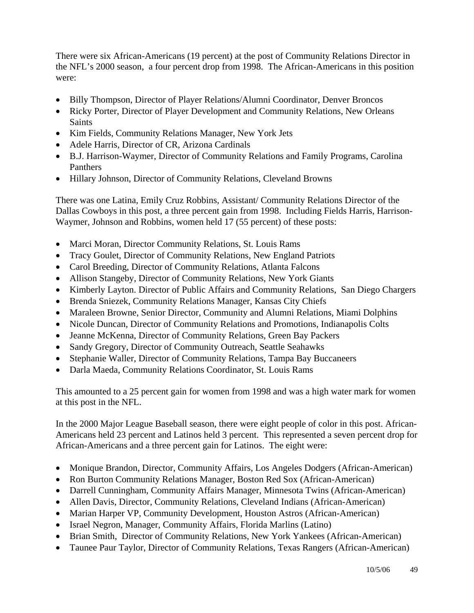There were six African-Americans (19 percent) at the post of Community Relations Director in the NFL's 2000 season, a four percent drop from 1998. The African-Americans in this position were:

- Billy Thompson, Director of Player Relations/Alumni Coordinator, Denver Broncos
- Ricky Porter, Director of Player Development and Community Relations, New Orleans **Saints**
- Kim Fields, Community Relations Manager, New York Jets
- Adele Harris, Director of CR, Arizona Cardinals
- B.J. Harrison-Waymer, Director of Community Relations and Family Programs, Carolina Panthers
- Hillary Johnson, Director of Community Relations, Cleveland Browns

There was one Latina, Emily Cruz Robbins, Assistant/ Community Relations Director of the Dallas Cowboys in this post, a three percent gain from 1998. Including Fields Harris, Harrison-Waymer, Johnson and Robbins, women held 17 (55 percent) of these posts:

- Marci Moran, Director Community Relations, St. Louis Rams
- Tracy Goulet, Director of Community Relations, New England Patriots
- Carol Breeding, Director of Community Relations, Atlanta Falcons
- Allison Stangeby, Director of Community Relations, New York Giants
- Kimberly Layton. Director of Public Affairs and Community Relations, San Diego Chargers
- Brenda Sniezek, Community Relations Manager, Kansas City Chiefs
- Maraleen Browne, Senior Director, Community and Alumni Relations, Miami Dolphins
- Nicole Duncan, Director of Community Relations and Promotions, Indianapolis Colts
- Jeanne McKenna, Director of Community Relations, Green Bay Packers
- Sandy Gregory, Director of Community Outreach, Seattle Seahawks
- Stephanie Waller, Director of Community Relations, Tampa Bay Buccaneers
- Darla Maeda, Community Relations Coordinator, St. Louis Rams

This amounted to a 25 percent gain for women from 1998 and was a high water mark for women at this post in the NFL.

In the 2000 Major League Baseball season, there were eight people of color in this post. African-Americans held 23 percent and Latinos held 3 percent. This represented a seven percent drop for African-Americans and a three percent gain for Latinos. The eight were:

- Monique Brandon, Director, Community Affairs, Los Angeles Dodgers (African-American)
- Ron Burton Community Relations Manager, Boston Red Sox (African-American)
- Darrell Cunningham, Community Affairs Manager, Minnesota Twins (African-American)
- Allen Davis, Director, Community Relations, Cleveland Indians (African-American)
- Marian Harper VP, Community Development, Houston Astros (African-American)
- Israel Negron, Manager, Community Affairs, Florida Marlins (Latino)
- Brian Smith, Director of Community Relations, New York Yankees (African-American)
- Taunee Paur Taylor, Director of Community Relations, Texas Rangers (African-American)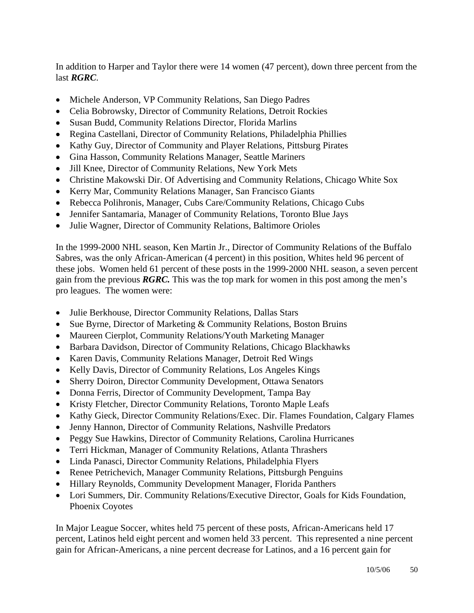In addition to Harper and Taylor there were 14 women (47 percent), down three percent from the last *RGRC*.

- Michele Anderson, VP Community Relations, San Diego Padres
- Celia Bobrowsky, Director of Community Relations, Detroit Rockies
- Susan Budd, Community Relations Director, Florida Marlins
- Regina Castellani, Director of Community Relations, Philadelphia Phillies
- Kathy Guy, Director of Community and Player Relations, Pittsburg Pirates
- Gina Hasson, Community Relations Manager, Seattle Mariners
- Jill Knee, Director of Community Relations, New York Mets
- Christine Makowski Dir. Of Advertising and Community Relations, Chicago White Sox
- Kerry Mar, Community Relations Manager, San Francisco Giants
- Rebecca Polihronis, Manager, Cubs Care/Community Relations, Chicago Cubs
- Jennifer Santamaria, Manager of Community Relations, Toronto Blue Jays
- Julie Wagner, Director of Community Relations, Baltimore Orioles

In the 1999-2000 NHL season, Ken Martin Jr., Director of Community Relations of the Buffalo Sabres, was the only African-American (4 percent) in this position, Whites held 96 percent of these jobs. Women held 61 percent of these posts in the 1999-2000 NHL season, a seven percent gain from the previous *RGRC.* This was the top mark for women in this post among the men's pro leagues. The women were:

- Julie Berkhouse, Director Community Relations, Dallas Stars
- Sue Byrne, Director of Marketing & Community Relations, Boston Bruins
- Maureen Cierplot, Community Relations/Youth Marketing Manager
- Barbara Davidson, Director of Community Relations, Chicago Blackhawks
- Karen Davis, Community Relations Manager, Detroit Red Wings
- Kelly Davis, Director of Community Relations, Los Angeles Kings
- Sherry Doiron, Director Community Development, Ottawa Senators
- Donna Ferris, Director of Community Development, Tampa Bay
- Kristy Fletcher, Director Community Relations, Toronto Maple Leafs
- Kathy Gieck, Director Community Relations/Exec. Dir. Flames Foundation, Calgary Flames
- Jenny Hannon, Director of Community Relations, Nashville Predators
- Peggy Sue Hawkins, Director of Community Relations, Carolina Hurricanes
- Terri Hickman, Manager of Community Relations, Atlanta Thrashers
- Linda Panasci, Director Community Relations, Philadelphia Flyers
- Renee Petrichevich, Manager Community Relations, Pittsburgh Penguins
- Hillary Reynolds, Community Development Manager, Florida Panthers
- Lori Summers, Dir. Community Relations/Executive Director, Goals for Kids Foundation, Phoenix Coyotes

In Major League Soccer, whites held 75 percent of these posts, African-Americans held 17 percent, Latinos held eight percent and women held 33 percent. This represented a nine percent gain for African-Americans, a nine percent decrease for Latinos, and a 16 percent gain for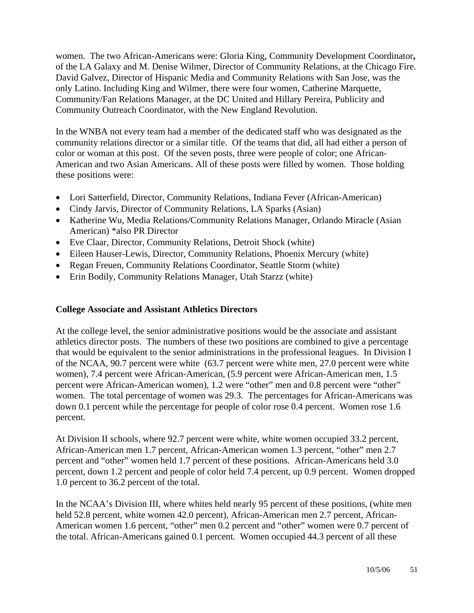women. The two African-Americans were: Gloria King, Community Development Coordinator**,**  of the LA Galaxy and M. Denise Wilmer, Director of Community Relations, at the Chicago Fire. David Galvez, Director of Hispanic Media and Community Relations with San Jose, was the only Latino. Including King and Wilmer, there were four women, Catherine Marquette, Community/Fan Relations Manager, at the DC United and Hillary Pereira, Publicity and Community Outreach Coordinator, with the New England Revolution.

In the WNBA not every team had a member of the dedicated staff who was designated as the community relations director or a similar title. Of the teams that did, all had either a person of color or woman at this post. Of the seven posts, three were people of color; one African-American and two Asian Americans. All of these posts were filled by women. Those holding these positions were:

- Lori Satterfield, Director, Community Relations, Indiana Fever (African-American)
- Cindy Jarvis, Director of Community Relations, LA Sparks (Asian)
- Katherine Wu, Media Relations/Community Relations Manager, Orlando Miracle (Asian American) \*also PR Director
- Eve Claar, Director, Community Relations, Detroit Shock (white)
- Eileen Hauser-Lewis, Director, Community Relations, Phoenix Mercury (white)
- Regan Freuen, Community Relations Coordinator, Seattle Storm (white)
- Erin Bodily, Community Relations Manager, Utah Starzz (white)

#### **College Associate and Assistant Athletics Directors**

At the college level, the senior administrative positions would be the associate and assistant athletics director posts. The numbers of these two positions are combined to give a percentage that would be equivalent to the senior administrations in the professional leagues. In Division I of the NCAA, 90.7 percent were white (63.7 percent were white men, 27.0 percent were white women), 7.4 percent were African-American, (5.9 percent were African-American men, 1.5 percent were African-American women), 1.2 were "other" men and 0.8 percent were "other" women. The total percentage of women was 29.3. The percentages for African-Americans was down 0.1 percent while the percentage for people of color rose 0.4 percent. Women rose 1.6 percent.

At Division II schools, where 92.7 percent were white, white women occupied 33.2 percent, African-American men 1.7 percent, African-American women 1.3 percent, "other" men 2.7 percent and "other" women held 1.7 percent of these positions. African-Americans held 3.0 percent, down 1.2 percent and people of color held 7.4 percent, up 0.9 percent. Women dropped 1.0 percent to 36.2 percent of the total.

In the NCAA's Division III, where whites held nearly 95 percent of these positions, (white men held 52.8 percent, white women 42.0 percent), African-American men 2.7 percent, African-American women 1.6 percent, "other" men 0.2 percent and "other" women were 0.7 percent of the total. African-Americans gained 0.1 percent. Women occupied 44.3 percent of all these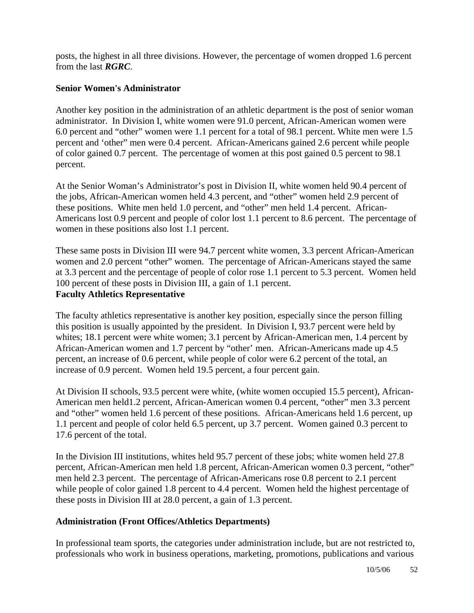posts, the highest in all three divisions. However, the percentage of women dropped 1.6 percent from the last *RGRC*.

#### **Senior Women's Administrator**

Another key position in the administration of an athletic department is the post of senior woman administrator. In Division I, white women were 91.0 percent, African-American women were 6.0 percent and "other" women were 1.1 percent for a total of 98.1 percent. White men were 1.5 percent and 'other" men were 0.4 percent. African-Americans gained 2.6 percent while people of color gained 0.7 percent. The percentage of women at this post gained 0.5 percent to 98.1 percent.

At the Senior Woman's Administrator's post in Division II, white women held 90.4 percent of the jobs, African-American women held 4.3 percent, and "other" women held 2.9 percent of these positions. White men held 1.0 percent, and "other" men held 1.4 percent. African-Americans lost 0.9 percent and people of color lost 1.1 percent to 8.6 percent. The percentage of women in these positions also lost 1.1 percent.

These same posts in Division III were 94.7 percent white women, 3.3 percent African-American women and 2.0 percent "other" women. The percentage of African-Americans stayed the same at 3.3 percent and the percentage of people of color rose 1.1 percent to 5.3 percent. Women held 100 percent of these posts in Division III, a gain of 1.1 percent. **Faculty Athletics Representative** 

The faculty athletics representative is another key position, especially since the person filling this position is usually appointed by the president. In Division I, 93.7 percent were held by whites; 18.1 percent were white women; 3.1 percent by African-American men, 1.4 percent by African-American women and 1.7 percent by "other' men. African-Americans made up 4.5 percent, an increase of 0.6 percent, while people of color were 6.2 percent of the total, an increase of 0.9 percent. Women held 19.5 percent, a four percent gain.

At Division II schools, 93.5 percent were white, (white women occupied 15.5 percent), African-American men held1.2 percent, African-American women 0.4 percent, "other" men 3.3 percent and "other" women held 1.6 percent of these positions. African-Americans held 1.6 percent, up 1.1 percent and people of color held 6.5 percent, up 3.7 percent. Women gained 0.3 percent to 17.6 percent of the total.

In the Division III institutions, whites held 95.7 percent of these jobs; white women held 27.8 percent, African-American men held 1.8 percent, African-American women 0.3 percent, "other" men held 2.3 percent. The percentage of African-Americans rose 0.8 percent to 2.1 percent while people of color gained 1.8 percent to 4.4 percent. Women held the highest percentage of these posts in Division III at 28.0 percent, a gain of 1.3 percent.

#### **Administration (Front Offices/Athletics Departments)**

In professional team sports, the categories under administration include, but are not restricted to, professionals who work in business operations, marketing, promotions, publications and various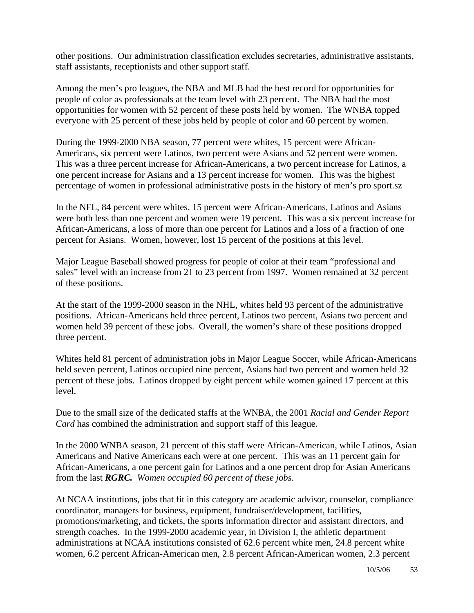other positions. Our administration classification excludes secretaries, administrative assistants, staff assistants, receptionists and other support staff.

Among the men's pro leagues, the NBA and MLB had the best record for opportunities for people of color as professionals at the team level with 23 percent. The NBA had the most opportunities for women with 52 percent of these posts held by women. The WNBA topped everyone with 25 percent of these jobs held by people of color and 60 percent by women.

During the 1999-2000 NBA season, 77 percent were whites, 15 percent were African-Americans, six percent were Latinos, two percent were Asians and 52 percent were women. This was a three percent increase for African-Americans, a two percent increase for Latinos, a one percent increase for Asians and a 13 percent increase for women. This was the highest percentage of women in professional administrative posts in the history of men's pro sport.sz

In the NFL, 84 percent were whites, 15 percent were African-Americans, Latinos and Asians were both less than one percent and women were 19 percent. This was a six percent increase for African-Americans, a loss of more than one percent for Latinos and a loss of a fraction of one percent for Asians. Women, however, lost 15 percent of the positions at this level.

Major League Baseball showed progress for people of color at their team "professional and sales" level with an increase from 21 to 23 percent from 1997. Women remained at 32 percent of these positions.

At the start of the 1999-2000 season in the NHL, whites held 93 percent of the administrative positions. African-Americans held three percent, Latinos two percent, Asians two percent and women held 39 percent of these jobs. Overall, the women's share of these positions dropped three percent.

Whites held 81 percent of administration jobs in Major League Soccer, while African-Americans held seven percent, Latinos occupied nine percent, Asians had two percent and women held 32 percent of these jobs. Latinos dropped by eight percent while women gained 17 percent at this level.

Due to the small size of the dedicated staffs at the WNBA, the 2001 *Racial and Gender Report Card* has combined the administration and support staff of this league.

In the 2000 WNBA season, 21 percent of this staff were African-American, while Latinos, Asian Americans and Native Americans each were at one percent. This was an 11 percent gain for African-Americans, a one percent gain for Latinos and a one percent drop for Asian Americans from the last *RGRC. Women occupied 60 percent of these jobs*.

At NCAA institutions, jobs that fit in this category are academic advisor, counselor, compliance coordinator, managers for business, equipment, fundraiser/development, facilities, promotions/marketing, and tickets, the sports information director and assistant directors, and strength coaches. In the 1999-2000 academic year, in Division I, the athletic department administrations at NCAA institutions consisted of 62.6 percent white men, 24.8 percent white women, 6.2 percent African-American men, 2.8 percent African-American women, 2.3 percent

10/5/06 53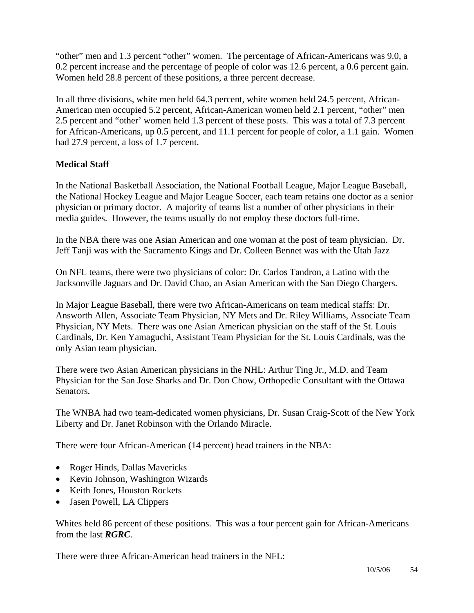"other" men and 1.3 percent "other" women. The percentage of African-Americans was 9.0, a 0.2 percent increase and the percentage of people of color was 12.6 percent, a 0.6 percent gain. Women held 28.8 percent of these positions, a three percent decrease.

In all three divisions, white men held 64.3 percent, white women held 24.5 percent, African-American men occupied 5.2 percent, African-American women held 2.1 percent, "other" men 2.5 percent and "other' women held 1.3 percent of these posts. This was a total of 7.3 percent for African-Americans, up 0.5 percent, and 11.1 percent for people of color, a 1.1 gain. Women had 27.9 percent, a loss of 1.7 percent.

#### **Medical Staff**

In the National Basketball Association, the National Football League, Major League Baseball, the National Hockey League and Major League Soccer, each team retains one doctor as a senior physician or primary doctor. A majority of teams list a number of other physicians in their media guides. However, the teams usually do not employ these doctors full-time.

In the NBA there was one Asian American and one woman at the post of team physician. Dr. Jeff Tanji was with the Sacramento Kings and Dr. Colleen Bennet was with the Utah Jazz

On NFL teams, there were two physicians of color: Dr. Carlos Tandron, a Latino with the Jacksonville Jaguars and Dr. David Chao, an Asian American with the San Diego Chargers.

In Major League Baseball, there were two African-Americans on team medical staffs: Dr. Answorth Allen, Associate Team Physician, NY Mets and Dr. Riley Williams, Associate Team Physician, NY Mets. There was one Asian American physician on the staff of the St. Louis Cardinals, Dr. Ken Yamaguchi, Assistant Team Physician for the St. Louis Cardinals, was the only Asian team physician.

There were two Asian American physicians in the NHL: Arthur Ting Jr., M.D. and Team Physician for the San Jose Sharks and Dr. Don Chow, Orthopedic Consultant with the Ottawa Senators.

The WNBA had two team-dedicated women physicians, Dr. Susan Craig-Scott of the New York Liberty and Dr. Janet Robinson with the Orlando Miracle.

There were four African-American (14 percent) head trainers in the NBA:

- Roger Hinds, Dallas Mavericks
- Kevin Johnson, Washington Wizards
- Keith Jones, Houston Rockets
- Jasen Powell, LA Clippers

Whites held 86 percent of these positions. This was a four percent gain for African-Americans from the last *RGRC*.

There were three African-American head trainers in the NFL: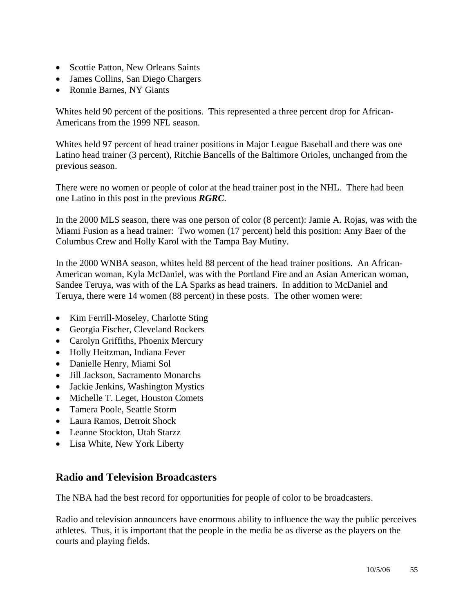- Scottie Patton, New Orleans Saints
- James Collins, San Diego Chargers
- Ronnie Barnes, NY Giants

Whites held 90 percent of the positions. This represented a three percent drop for African-Americans from the 1999 NFL season.

Whites held 97 percent of head trainer positions in Major League Baseball and there was one Latino head trainer (3 percent), Ritchie Bancells of the Baltimore Orioles, unchanged from the previous season.

There were no women or people of color at the head trainer post in the NHL. There had been one Latino in this post in the previous *RGRC*.

In the 2000 MLS season, there was one person of color (8 percent): Jamie A. Rojas, was with the Miami Fusion as a head trainer: Two women (17 percent) held this position: Amy Baer of the Columbus Crew and Holly Karol with the Tampa Bay Mutiny.

In the 2000 WNBA season, whites held 88 percent of the head trainer positions. An African-American woman, Kyla McDaniel, was with the Portland Fire and an Asian American woman, Sandee Teruya, was with of the LA Sparks as head trainers. In addition to McDaniel and Teruya, there were 14 women (88 percent) in these posts. The other women were:

- Kim Ferrill-Moseley, Charlotte Sting
- Georgia Fischer, Cleveland Rockers
- Carolyn Griffiths, Phoenix Mercury
- Holly Heitzman, Indiana Fever
- Danielle Henry, Miami Sol
- Jill Jackson, Sacramento Monarchs
- Jackie Jenkins, Washington Mystics
- Michelle T. Leget, Houston Comets
- Tamera Poole, Seattle Storm
- Laura Ramos, Detroit Shock
- Leanne Stockton, Utah Starzz
- Lisa White, New York Liberty

### **Radio and Television Broadcasters**

The NBA had the best record for opportunities for people of color to be broadcasters.

Radio and television announcers have enormous ability to influence the way the public perceives athletes. Thus, it is important that the people in the media be as diverse as the players on the courts and playing fields.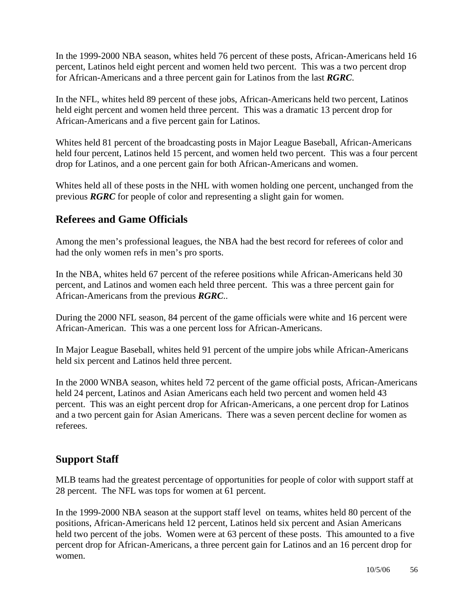In the 1999-2000 NBA season, whites held 76 percent of these posts, African-Americans held 16 percent, Latinos held eight percent and women held two percent. This was a two percent drop for African-Americans and a three percent gain for Latinos from the last *RGRC*.

In the NFL, whites held 89 percent of these jobs, African-Americans held two percent, Latinos held eight percent and women held three percent. This was a dramatic 13 percent drop for African-Americans and a five percent gain for Latinos.

Whites held 81 percent of the broadcasting posts in Major League Baseball, African-Americans held four percent, Latinos held 15 percent, and women held two percent. This was a four percent drop for Latinos, and a one percent gain for both African-Americans and women.

Whites held all of these posts in the NHL with women holding one percent, unchanged from the previous *RGRC* for people of color and representing a slight gain for women.

### **Referees and Game Officials**

Among the men's professional leagues, the NBA had the best record for referees of color and had the only women refs in men's pro sports.

In the NBA, whites held 67 percent of the referee positions while African-Americans held 30 percent, and Latinos and women each held three percent. This was a three percent gain for African-Americans from the previous *RGRC*..

During the 2000 NFL season, 84 percent of the game officials were white and 16 percent were African-American. This was a one percent loss for African-Americans.

In Major League Baseball, whites held 91 percent of the umpire jobs while African-Americans held six percent and Latinos held three percent.

In the 2000 WNBA season, whites held 72 percent of the game official posts, African-Americans held 24 percent, Latinos and Asian Americans each held two percent and women held 43 percent. This was an eight percent drop for African-Americans, a one percent drop for Latinos and a two percent gain for Asian Americans. There was a seven percent decline for women as referees.

### **Support Staff**

MLB teams had the greatest percentage of opportunities for people of color with support staff at 28 percent. The NFL was tops for women at 61 percent.

In the 1999-2000 NBA season at the support staff level on teams, whites held 80 percent of the positions, African-Americans held 12 percent, Latinos held six percent and Asian Americans held two percent of the jobs. Women were at 63 percent of these posts. This amounted to a five percent drop for African-Americans, a three percent gain for Latinos and an 16 percent drop for women.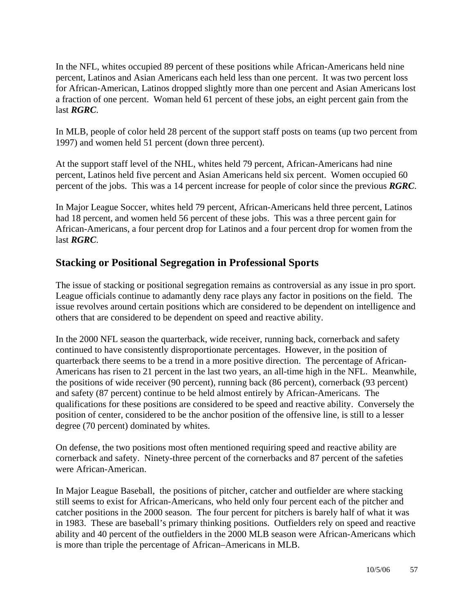In the NFL, whites occupied 89 percent of these positions while African-Americans held nine percent, Latinos and Asian Americans each held less than one percent. It was two percent loss for African-American, Latinos dropped slightly more than one percent and Asian Americans lost a fraction of one percent. Woman held 61 percent of these jobs, an eight percent gain from the last *RGRC*.

In MLB, people of color held 28 percent of the support staff posts on teams (up two percent from 1997) and women held 51 percent (down three percent).

At the support staff level of the NHL, whites held 79 percent, African-Americans had nine percent, Latinos held five percent and Asian Americans held six percent. Women occupied 60 percent of the jobs. This was a 14 percent increase for people of color since the previous *RGRC*.

In Major League Soccer, whites held 79 percent, African-Americans held three percent, Latinos had 18 percent, and women held 56 percent of these jobs. This was a three percent gain for African-Americans, a four percent drop for Latinos and a four percent drop for women from the last *RGRC*.

### **Stacking or Positional Segregation in Professional Sports**

The issue of stacking or positional segregation remains as controversial as any issue in pro sport. League officials continue to adamantly deny race plays any factor in positions on the field. The issue revolves around certain positions which are considered to be dependent on intelligence and others that are considered to be dependent on speed and reactive ability.

In the 2000 NFL season the quarterback, wide receiver, running back, cornerback and safety continued to have consistently disproportionate percentages. However, in the position of quarterback there seems to be a trend in a more positive direction. The percentage of African-Americans has risen to 21 percent in the last two years, an all-time high in the NFL. Meanwhile, the positions of wide receiver (90 percent), running back (86 percent), cornerback (93 percent) and safety (87 percent) continue to be held almost entirely by African-Americans. The qualifications for these positions are considered to be speed and reactive ability. Conversely the position of center, considered to be the anchor position of the offensive line, is still to a lesser degree (70 percent) dominated by whites.

On defense, the two positions most often mentioned requiring speed and reactive ability are cornerback and safety. Ninety-three percent of the cornerbacks and 87 percent of the safeties were African-American.

In Major League Baseball, the positions of pitcher, catcher and outfielder are where stacking still seems to exist for African-Americans, who held only four percent each of the pitcher and catcher positions in the 2000 season. The four percent for pitchers is barely half of what it was in 1983. These are baseball's primary thinking positions. Outfielders rely on speed and reactive ability and 40 percent of the outfielders in the 2000 MLB season were African-Americans which is more than triple the percentage of African–Americans in MLB.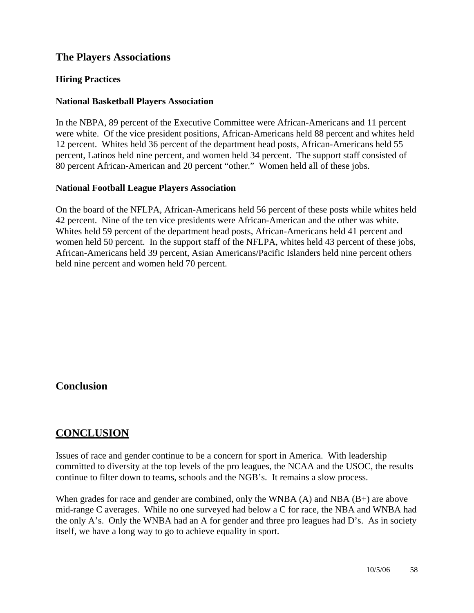### **The Players Associations**

#### **Hiring Practices**

#### **National Basketball Players Association**

In the NBPA, 89 percent of the Executive Committee were African-Americans and 11 percent were white. Of the vice president positions, African-Americans held 88 percent and whites held 12 percent. Whites held 36 percent of the department head posts, African-Americans held 55 percent, Latinos held nine percent, and women held 34 percent. The support staff consisted of 80 percent African-American and 20 percent "other." Women held all of these jobs.

#### **National Football League Players Association**

On the board of the NFLPA, African-Americans held 56 percent of these posts while whites held 42 percent. Nine of the ten vice presidents were African-American and the other was white. Whites held 59 percent of the department head posts, African-Americans held 41 percent and women held 50 percent. In the support staff of the NFLPA, whites held 43 percent of these jobs, African-Americans held 39 percent, Asian Americans/Pacific Islanders held nine percent others held nine percent and women held 70 percent.

#### **Conclusion**

### **CONCLUSION**

Issues of race and gender continue to be a concern for sport in America. With leadership committed to diversity at the top levels of the pro leagues, the NCAA and the USOC, the results continue to filter down to teams, schools and the NGB's. It remains a slow process.

When grades for race and gender are combined, only the WNBA  $(A)$  and NBA  $(B+)$  are above mid-range C averages. While no one surveyed had below a C for race, the NBA and WNBA had the only A's. Only the WNBA had an A for gender and three pro leagues had D's. As in society itself, we have a long way to go to achieve equality in sport.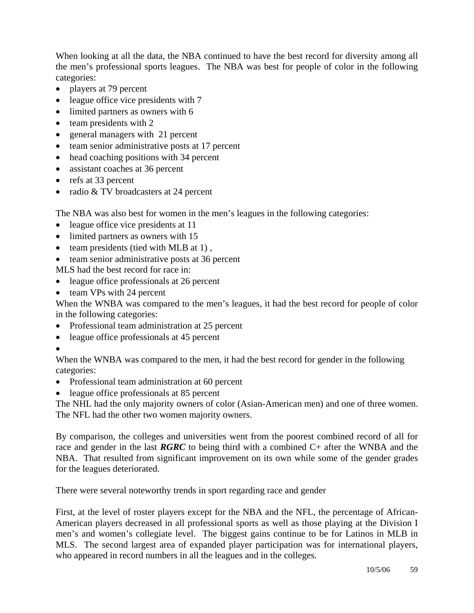When looking at all the data, the NBA continued to have the best record for diversity among all the men's professional sports leagues. The NBA was best for people of color in the following categories:

- players at 79 percent
- league office vice presidents with 7
- limited partners as owners with 6
- team presidents with 2
- general managers with 21 percent
- team senior administrative posts at 17 percent
- head coaching positions with 34 percent
- assistant coaches at 36 percent
- refs at 33 percent
- radio & TV broadcasters at 24 percent

The NBA was also best for women in the men's leagues in the following categories:

- league office vice presidents at 11
- limited partners as owners with 15
- team presidents (tied with MLB at 1),
- team senior administrative posts at 36 percent

MLS had the best record for race in:

- league office professionals at 26 percent
- team VPs with 24 percent

When the WNBA was compared to the men's leagues, it had the best record for people of color in the following categories:

- Professional team administration at 25 percent
- league office professionals at 45 percent
- •

When the WNBA was compared to the men, it had the best record for gender in the following categories:

- Professional team administration at 60 percent
- league office professionals at 85 percent

The NHL had the only majority owners of color (Asian-American men) and one of three women. The NFL had the other two women majority owners.

By comparison, the colleges and universities went from the poorest combined record of all for race and gender in the last *RGRC* to being third with a combined C+ after the WNBA and the NBA. That resulted from significant improvement on its own while some of the gender grades for the leagues deteriorated.

There were several noteworthy trends in sport regarding race and gender

First, at the level of roster players except for the NBA and the NFL, the percentage of African-American players decreased in all professional sports as well as those playing at the Division I men's and women's collegiate level. The biggest gains continue to be for Latinos in MLB in MLS. The second largest area of expanded player participation was for international players, who appeared in record numbers in all the leagues and in the colleges.